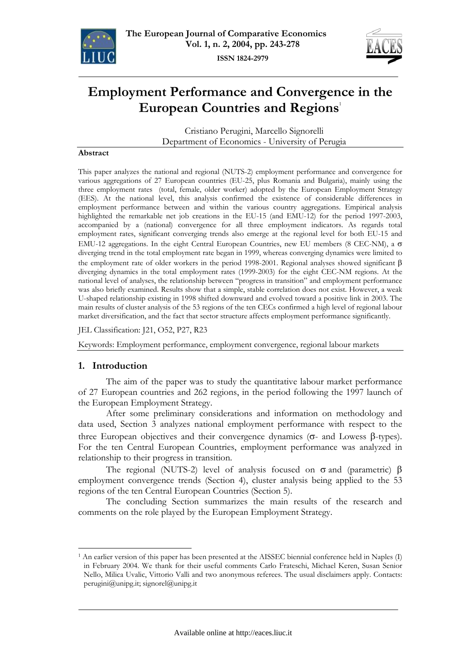



# **Employment Performance and Convergence in the European Countries and Regions**<sup>1</sup>

Cristiano Perugini, Marcello Signorelli Department of Economics - University of Perugia

#### **Abstract**

This paper analyzes the national and regional (NUTS-2) employment performance and convergence for various aggregations of 27 European countries (EU-25, plus Romania and Bulgaria), mainly using the three employment rates (total, female, older worker) adopted by the European Employment Strategy (EES). At the national level, this analysis confirmed the existence of considerable differences in employment performance between and within the various country aggregations. Empirical analysis highlighted the remarkable net job creations in the EU-15 (and EMU-12) for the period 1997-2003, accompanied by a (national) convergence for all three employment indicators. As regards total employment rates, significant converging trends also emerge at the regional level for both EU-15 and EMU-12 aggregations. In the eight Central European Countries, new EU members (8 CEC-NM), a σ diverging trend in the total employment rate began in 1999, whereas converging dynamics were limited to the employment rate of older workers in the period 1998-2001. Regional analyses showed significant  $β$ diverging dynamics in the total employment rates (1999-2003) for the eight CEC-NM regions. At the national level of analyses, the relationship between "progress in transition" and employment performance was also briefly examined. Results show that a simple, stable correlation does not exist. However, a weak U-shaped relationship existing in 1998 shifted downward and evolved toward a positive link in 2003. The main results of cluster analysis of the 53 regions of the ten CECs confirmed a high level of regional labour market diversification, and the fact that sector structure affects employment performance significantly.

JEL Classification: J21, O52, P27, R23

Keywords: Employment performance, employment convergence, regional labour markets

### **1. Introduction**

 $\overline{a}$ 

The aim of the paper was to study the quantitative labour market performance of 27 European countries and 262 regions, in the period following the 1997 launch of the European Employment Strategy.

After some preliminary considerations and information on methodology and data used, Section 3 analyzes national employment performance with respect to the three European objectives and their convergence dynamics (σ- and Lowess β-types). For the ten Central European Countries, employment performance was analyzed in relationship to their progress in transition.

The regional (NUTS-2) level of analysis focused on  $\sigma$  and (parametric)  $\beta$ employment convergence trends (Section 4), cluster analysis being applied to the 53 regions of the ten Central European Countries (Section 5).

The concluding Section summarizes the main results of the research and comments on the role played by the European Employment Strategy.

<sup>&</sup>lt;sup>1</sup> An earlier version of this paper has been presented at the AISSEC biennial conference held in Naples (I) in February 2004. We thank for their useful comments Carlo Frateschi, Michael Keren, Susan Senior Nello, Milica Uvalic, Vittorio Valli and two anonymous referees. The usual disclaimers apply. Contacts: perugini@unipg.it; signorel@unipg.it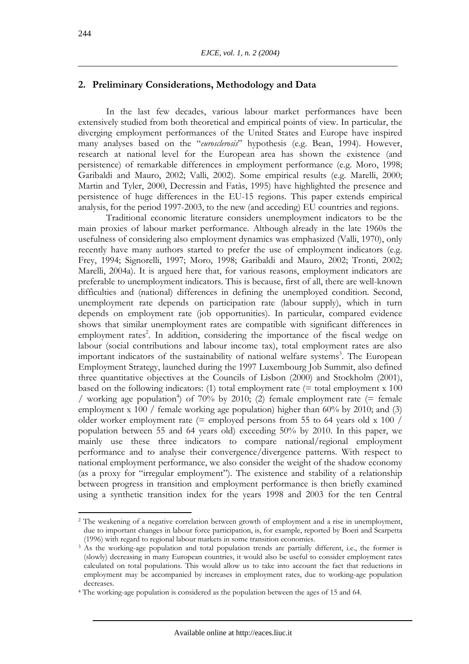# **2. Preliminary Considerations, Methodology and Data**

In the last few decades, various labour market performances have been extensively studied from both theoretical and empirical points of view. In particular, the diverging employment performances of the United States and Europe have inspired many analyses based on the "*eurosclerosis*" hypothesis (e.g. Bean, 1994). However, research at national level for the European area has shown the existence (and persistence) of remarkable differences in employment performance (e.g. Moro, 1998; Garibaldi and Mauro, 2002; Valli, 2002). Some empirical results (e.g. Marelli, 2000; Martin and Tyler, 2000, Decressin and Fatàs, 1995) have highlighted the presence and persistence of huge differences in the EU-15 regions. This paper extends empirical analysis, for the period 1997-2003, to the new (and acceding) EU countries and regions.

Traditional economic literature considers unemployment indicators to be the main proxies of labour market performance. Although already in the late 1960s the usefulness of considering also employment dynamics was emphasized (Valli, 1970), only recently have many authors started to prefer the use of employment indicators (e.g. Frey, 1994; Signorelli, 1997; Moro, 1998; Garibaldi and Mauro, 2002; Tronti, 2002; Marelli, 2004a). It is argued here that, for various reasons, employment indicators are preferable to unemployment indicators. This is because, first of all, there are well-known difficulties and (national) differences in defining the unemployed condition. Second, unemployment rate depends on participation rate (labour supply), which in turn depends on employment rate (job opportunities). In particular, compared evidence shows that similar unemployment rates are compatible with significant differences in employment rates<sup>2</sup>. In addition, considering the importance of the fiscal wedge on labour (social contributions and labour income tax), total employment rates are also important indicators of the sustainability of national welfare systems<sup>3</sup>. The European Employment Strategy, launched during the 1997 Luxembourg Job Summit, also defined three quantitative objectives at the Councils of Lisbon (2000) and Stockholm (2001), based on the following indicators: (1) total employment rate  $(=$  total employment x 100 / working age population<sup>4</sup>) of 70% by 2010; (2) female employment rate (= female employment x 100 / female working age population) higher than 60% by 2010; and (3) older worker employment rate (= employed persons from 55 to 64 years old x 100 / population between 55 and 64 years old) exceeding 50% by 2010. In this paper, we mainly use these three indicators to compare national/regional employment performance and to analyse their convergence/divergence patterns. With respect to national employment performance, we also consider the weight of the shadow economy (as a proxy for "irregular employment"). The existence and stability of a relationship between progress in transition and employment performance is then briefly examined using a synthetic transition index for the years 1998 and 2003 for the ten Central

<sup>&</sup>lt;sup>2</sup> The weakening of a negative correlation between growth of employment and a rise in unemployment, due to important changes in labour force participation, is, for example, reported by Boeri and Scarpetta

<sup>(1996)</sup> with regard to regional labour markets in some transition economies. 3 As the working-age population and total population trends are partially different, i.e., the former is (slowly) decreasing in many European countries, it would also be useful to consider employment rates calculated on total populations. This would allow us to take into account the fact that reductions in employment may be accompanied by increases in employment rates, due to working-age population decreases.

<sup>4</sup> The working-age population is considered as the population between the ages of 15 and 64.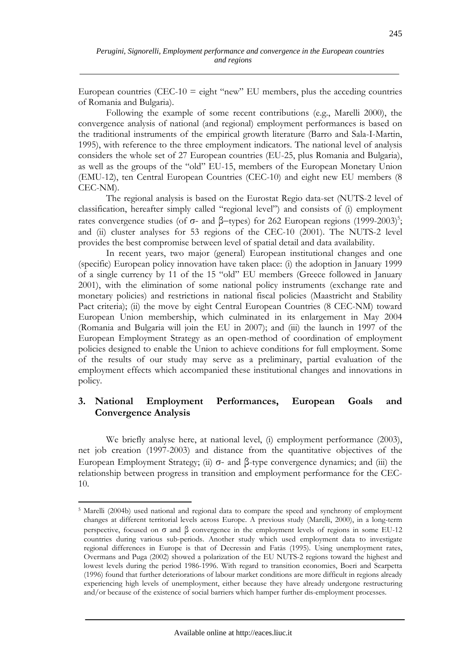European countries (CEC-10 = eight "new" EU members, plus the acceding countries of Romania and Bulgaria).

Following the example of some recent contributions (e.g., Marelli 2000), the convergence analysis of national (and regional) employment performances is based on the traditional instruments of the empirical growth literature (Barro and Sala-I-Martin, 1995), with reference to the three employment indicators. The national level of analysis considers the whole set of 27 European countries (EU-25, plus Romania and Bulgaria), as well as the groups of the "old" EU-15, members of the European Monetary Union (EMU-12), ten Central European Countries (CEC-10) and eight new EU members (8 CEC-NM).

The regional analysis is based on the Eurostat Regio data-set (NUTS-2 level of classification, hereafter simply called "regional level") and consists of (i) employment rates convergence studies (of σ- and  $\beta$ -types) for 262 European regions (1999-2003)<sup>5</sup>; and (ii) cluster analyses for 53 regions of the CEC-10 (2001). The NUTS-2 level provides the best compromise between level of spatial detail and data availability.

In recent years, two major (general) European institutional changes and one (specific) European policy innovation have taken place: (i) the adoption in January 1999 of a single currency by 11 of the 15 "old" EU members (Greece followed in January 2001), with the elimination of some national policy instruments (exchange rate and monetary policies) and restrictions in national fiscal policies (Maastricht and Stability Pact criteria); (ii) the move by eight Central European Countries (8 CEC-NM) toward European Union membership, which culminated in its enlargement in May 2004 (Romania and Bulgaria will join the EU in 2007); and (iii) the launch in 1997 of the European Employment Strategy as an open-method of coordination of employment policies designed to enable the Union to achieve conditions for full employment. Some of the results of our study may serve as a preliminary, partial evaluation of the employment effects which accompanied these institutional changes and innovations in policy.

# **3. National Employment Performances, European Goals and Convergence Analysis**

We briefly analyse here, at national level, (i) employment performance (2003), net job creation (1997-2003) and distance from the quantitative objectives of the European Employment Strategy; (ii) σ- and β-type convergence dynamics; and (iii) the relationship between progress in transition and employment performance for the CEC-10.

<sup>5</sup> Marelli (2004b) used national and regional data to compare the speed and synchrony of employment changes at different territorial levels across Europe. A previous study (Marelli, 2000), in a long-term perspective, focused on σ and β convergence in the employment levels of regions in some EU-12 countries during various sub-periods. Another study which used employment data to investigate regional differences in Europe is that of Decressin and Fatàs (1995). Using unemployment rates, Overmans and Puga (2002) showed a polarization of the EU NUTS-2 regions toward the highest and lowest levels during the period 1986-1996. With regard to transition economies, Boeri and Scarpetta (1996) found that further deteriorations of labour market conditions are more difficult in regions already experiencing high levels of unemployment, either because they have already undergone restructuring and/or because of the existence of social barriers which hamper further dis-employment processes.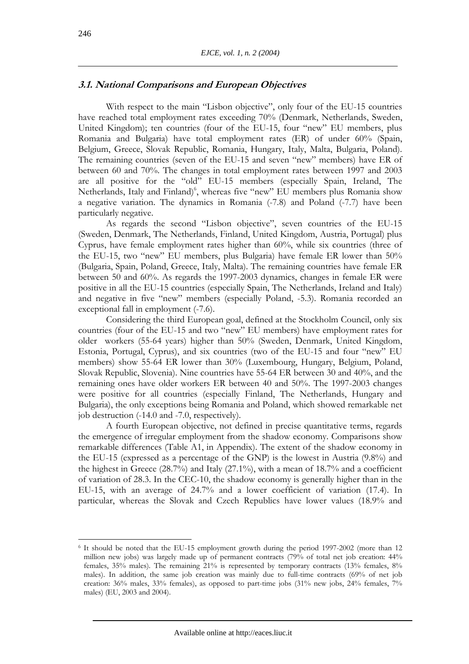## **3.1. National Comparisons and European Objectives**

With respect to the main "Lisbon objective", only four of the EU-15 countries have reached total employment rates exceeding 70% (Denmark, Netherlands, Sweden, United Kingdom); ten countries (four of the EU-15, four "new" EU members, plus Romania and Bulgaria) have total employment rates (ER) of under 60% (Spain, Belgium, Greece, Slovak Republic, Romania, Hungary, Italy, Malta, Bulgaria, Poland). The remaining countries (seven of the EU-15 and seven "new" members) have ER of between 60 and 70%. The changes in total employment rates between 1997 and 2003 are all positive for the "old" EU-15 members (especially Spain, Ireland, The Netherlands, Italy and Finland)<sup>6</sup>, whereas five "new" EU members plus Romania show a negative variation. The dynamics in Romania (-7.8) and Poland (-7.7) have been particularly negative.

As regards the second "Lisbon objective", seven countries of the EU-15 (Sweden, Denmark, The Netherlands, Finland, United Kingdom, Austria, Portugal) plus Cyprus, have female employment rates higher than 60%, while six countries (three of the EU-15, two "new" EU members, plus Bulgaria) have female ER lower than 50% (Bulgaria, Spain, Poland, Greece, Italy, Malta). The remaining countries have female ER between 50 and 60%. As regards the 1997-2003 dynamics, changes in female ER were positive in all the EU-15 countries (especially Spain, The Netherlands, Ireland and Italy) and negative in five "new" members (especially Poland, -5.3). Romania recorded an exceptional fall in employment (-7.6).

Considering the third European goal, defined at the Stockholm Council, only six countries (four of the EU-15 and two "new" EU members) have employment rates for older workers (55-64 years) higher than 50% (Sweden, Denmark, United Kingdom, Estonia, Portugal, Cyprus), and six countries (two of the EU-15 and four "new" EU members) show 55-64 ER lower than 30% (Luxembourg, Hungary, Belgium, Poland, Slovak Republic, Slovenia). Nine countries have 55-64 ER between 30 and 40%, and the remaining ones have older workers ER between 40 and 50%. The 1997-2003 changes were positive for all countries (especially Finland, The Netherlands, Hungary and Bulgaria), the only exceptions being Romania and Poland, which showed remarkable net job destruction (-14.0 and -7.0, respectively).

A fourth European objective, not defined in precise quantitative terms, regards the emergence of irregular employment from the shadow economy. Comparisons show remarkable differences (Table A1, in Appendix). The extent of the shadow economy in the EU-15 (expressed as a percentage of the GNP) is the lowest in Austria (9.8%) and the highest in Greece (28.7%) and Italy (27.1%), with a mean of 18.7% and a coefficient of variation of 28.3. In the CEC-10, the shadow economy is generally higher than in the EU-15, with an average of 24.7% and a lower coefficient of variation (17.4). In particular, whereas the Slovak and Czech Republics have lower values (18.9% and

<sup>6</sup> It should be noted that the EU-15 employment growth during the period 1997-2002 (more than 12 million new jobs) was largely made up of permanent contracts (79% of total net job creation: 44% females, 35% males). The remaining 21% is represented by temporary contracts (13% females, 8% males). In addition, the same job creation was mainly due to full-time contracts (69% of net job creation: 36% males, 33% females), as opposed to part-time jobs (31% new jobs, 24% females, 7% males) (EU, 2003 and 2004).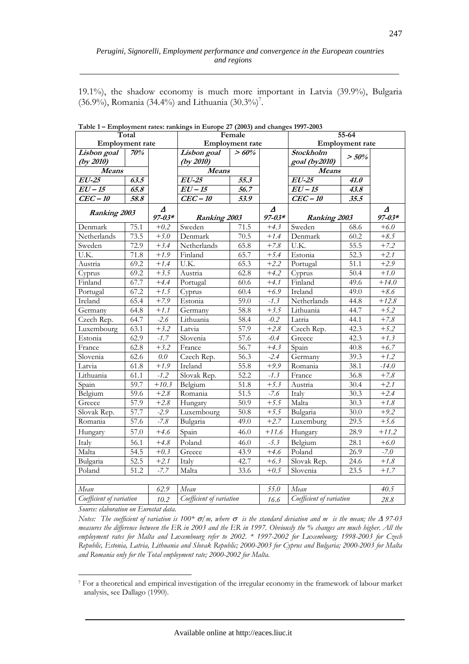19.1%), the shadow economy is much more important in Latvia (39.9%), Bulgaria  $(36.9\%)$ , Romania  $(34.4\%)$  and Lithuania  $(30.3\%)$ <sup>7</sup>.

|                          | Total |            |                          | Female                 |            | $55 - 64$                |                        |            |
|--------------------------|-------|------------|--------------------------|------------------------|------------|--------------------------|------------------------|------------|
| <b>Employment</b> rate   |       |            |                          | <b>Employment</b> rate |            |                          | <b>Employment</b> rate |            |
| Lisbon goal              | 70%   |            | Lisbon goal              | >60%                   |            | Stockholm                | > 50%                  |            |
| (by 2010)                |       |            | (by 2010)                |                        |            | goal (by2010)            |                        |            |
| Means                    |       |            | Means                    |                        |            | <b>Means</b>             |                        |            |
| $EU$ -25                 | 63.5  |            | $EU$ -25                 | 55.3                   |            | $EU$ -25                 | 41.0                   |            |
| $\overline{EU}$ - 15     | 65.8  |            | $\overline{EU} - 15$     | 56.7                   |            | $EU-15$                  | 43.8                   |            |
| $CEC-10$                 | 58.8  |            | $CEC-10$                 | 53.9                   |            | $CEC-10$                 | 35.5                   |            |
| <b>Ranking 2003</b>      |       | Δ          |                          |                        | Δ          |                          |                        | Δ          |
|                          |       | $97 - 03*$ | Ranking 2003             |                        | $97 - 03*$ | Ranking 2003             |                        | $97 - 03*$ |
| Denmark                  | 75.1  | $+0.2$     | Sweden                   | 71.5                   | $+4.3$     | Sweden                   | 68.6                   | $+6.0$     |
| Netherlands              | 73.5  | $+5.0$     | Denmark                  | $\overline{70.5}$      | $+1.4$     | Denmark                  | 60.2                   | $+8.5$     |
| Sweden                   | 72.9  | $+3.4$     | Netherlands              | 65.8                   | $+7.8$     | U.K.                     | 55.5                   | $+7.2$     |
| $\overline{UK}$ .        | 71.8  | $+1.9$     | Finland                  | 65.7                   | $+5.4$     | Estonia                  | 52.3                   | $+2.1$     |
| Austria                  | 69.2  | $+1.4$     | U.K.                     | 65.3                   | $+2.2$     | Portugal                 | 51.1                   | $+2.9$     |
| Cyprus                   | 69.2  | $+3.5$     | Austria                  | 62.8                   | $+4.2$     | Cyprus                   | 50.4                   | $+1.0$     |
| Finland                  | 67.7  | $+4.4$     | Portugal                 | 60.6                   | $+4.1$     | Finland                  | 49.6                   | $+14.0$    |
| Portugal                 | 67.2  | $+1.5$     | Cyprus                   | 60.4                   | $+6.9$     | Ireland                  | 49.0                   | $+8.6$     |
| Ireland                  | 65.4  | $+7.9$     | Estonia                  | 59.0                   | $-1.3$     | Netherlands              | 44.8                   | $+12.8$    |
| Germany                  | 64.8  | $+1.1$     | Germany                  | 58.8                   | $+3.5$     | Lithuania                | 44.7                   | $+5.2$     |
| Czech Rep.               | 64.7  | $-2.6$     | Lithuania                | 58.4                   | $-0.2$     | Latria                   | 44.1                   | $+7.8$     |
| Luxembourg               | 63.1  | $+3.2$     | Latvia                   | 57.9                   | $+2.8$     | Czech Rep.               | 42.3                   | $+5.2$     |
| Estonia                  | 62.9  | $-1.7$     | Slovenia                 | 57.6                   | $-0.4$     | Greece                   | 42.3                   | $+1.3$     |
| France                   | 62.8  | $+3.2$     | France                   | 56.7                   | $+4.3$     | Spain                    | 40.8                   | $+6.7$     |
| Slovenia                 | 62.6  | $0.0\,$    | Czech Rep.               | 56.3                   | $-2.4$     | Germany                  | 39.3                   | $+1.2$     |
| Latvia                   | 61.8  | $+1.9$     | Ireland                  | 55.8                   | $+9.9$     | Romania                  | 38.1                   | $-14.0$    |
| Lithuania                | 61.1  | $-1.2$     | Slovak Rep.              | $\overline{52.2}$      | $-1.3$     | France                   | 36.8                   | $+7.8$     |
| Spain                    | 59.7  | $+10.3$    | Belgium                  | 51.8                   | $+5.3$     | Austria                  | 30.4                   | $+2.1$     |
| Belgium                  | 59.6  | $+2.8$     | Romania                  | 51.5                   | $-7.6$     | Italy                    | 30.3                   | $+2.4$     |
| Greece                   | 57.9  | $+2.8$     | Hungary                  | $\overline{50.9}$      | $+5.5$     | Malta                    | 30.3                   | $+1.8$     |
| Slovak Rep.              | 57.7  | $-2.9$     | Luxembourg               | 50.8                   | $+5.5$     | Bulgaria                 | 30.0                   | $+9.2$     |
| Romania                  | 57.6  | $-7.8$     | Bulgaria                 | 49.0                   | $+2.7$     | Luxemburg                | 29.5                   | $+5.6$     |
| Hungary                  | 57.0  | $+4.6$     | Spain                    | 46.0                   | $+11.6$    | Hungary                  | 28.9                   | $+11.2$    |
| Italy                    | 56.1  | $+4.8$     | Poland                   | 46.0                   | $-5.3$     | Belgium                  | 28.1                   | $+6.0$     |
| Malta                    | 54.5  | $+0.3$     | Greece                   | 43.9                   | $+4.6$     | Poland                   | $\overline{26.9}$      | $-7.0$     |
| Bulgaria                 | 52.5  | $+2.1$     | Italy                    | 42.7                   | $+6.3$     | Slovak Rep.              | 24.6                   | $+1.8$     |
| Poland                   | 51.2  | $-7.7$     | Malta                    | 33.6                   | $+0.5$     | Slovenia                 | 23.5                   | $+1.7$     |
|                          |       |            |                          |                        |            |                          |                        |            |
| Mean                     |       | 62.9       | Mean                     |                        | 55.0       | Mean                     |                        | 40.5       |
| Coefficient of variation |       | 10.2       | Coefficient of variation |                        | 16.6       | Coefficient of variation |                        | 28.8       |

**Table 1 – Employment rates: rankings in Europe 27 (2003) and changes 1997-2003** 

*Source: elaboration on Eurostat data.* 

 $\overline{a}$ 

*Notes: The coefficient of variation is 100\** σ/*m*, where σ *is the standard deviation and m is the mean; the* ∆ 97-03 *measures the difference between the ER in 2003 and the ER in 1997. Obviously the % changes are much higher. All the employment rates for Malta and Luxembourg refer to 2002. \* 1997-2002 for Luxembourg; 1998-2003 for Czech Republic, Estonia, Latvia, Lithuania and Slovak Republic; 2000-2003 for Cyprus and Bulgaria; 2000-2003 for Malta and Romania only for the Total employment rate; 2000-2002 for Malta.* 

<sup>7</sup> For a theoretical and empirical investigation of the irregular economy in the framework of labour market analysis, see Dallago (1990).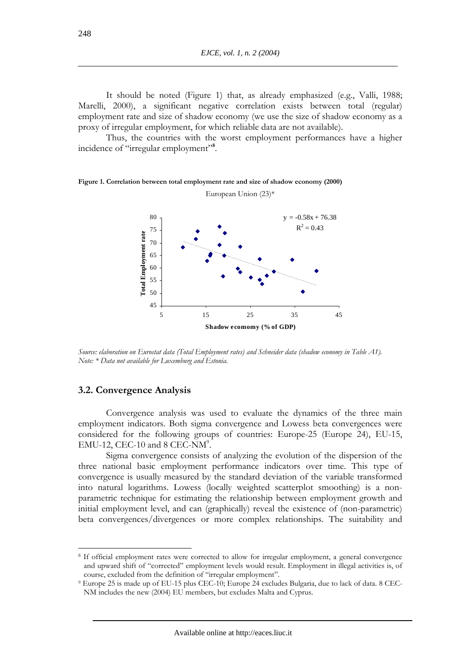It should be noted (Figure 1) that, as already emphasized (e.g., Valli, 1988; Marelli, 2000), a significant negative correlation exists between total (regular) employment rate and size of shadow economy (we use the size of shadow economy as a proxy of irregular employment, for which reliable data are not available).

Thus, the countries with the worst employment performances have a higher incidence of "irregular employment"<sup>8</sup>.





*Source: elaboration on Eurostat data (Total Employment rates) and Schneider data (shadow economy in Table A1). Note: \* Data not available for Luxemburg and Estonia.* 

### **3.2. Convergence Analysis**

 $\overline{a}$ 

Convergence analysis was used to evaluate the dynamics of the three main employment indicators. Both sigma convergence and Lowess beta convergences were considered for the following groups of countries: Europe-25 (Europe 24), EU-15,  $EMU-12$ , CEC-10 and 8 CEC-NM<sup>9</sup>.

Sigma convergence consists of analyzing the evolution of the dispersion of the three national basic employment performance indicators over time. This type of convergence is usually measured by the standard deviation of the variable transformed into natural logarithms. Lowess (locally weighted scatterplot smoothing) is a nonparametric technique for estimating the relationship between employment growth and initial employment level, and can (graphically) reveal the existence of (non-parametric) beta convergences/divergences or more complex relationships. The suitability and

<sup>8</sup> If official employment rates were corrected to allow for irregular employment, a general convergence and upward shift of "corrected" employment levels would result. Employment in illegal activities is, of course, excluded from the definition of "irregular employment". 9 Europe 25 is made up of EU-15 plus CEC-10; Europe 24 excludes Bulgaria, due to lack of data. 8 CEC-

NM includes the new (2004) EU members, but excludes Malta and Cyprus.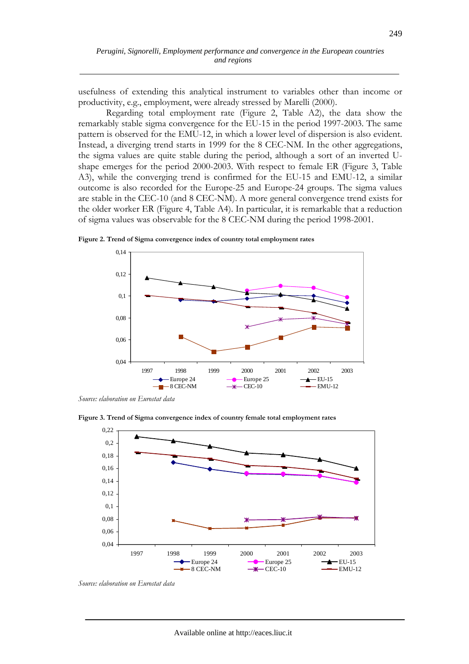usefulness of extending this analytical instrument to variables other than income or productivity, e.g., employment, were already stressed by Marelli (2000).

Regarding total employment rate (Figure 2, Table A2), the data show the remarkably stable sigma convergence for the EU-15 in the period 1997-2003. The same pattern is observed for the EMU-12, in which a lower level of dispersion is also evident. Instead, a diverging trend starts in 1999 for the 8 CEC-NM. In the other aggregations, the sigma values are quite stable during the period, although a sort of an inverted Ushape emerges for the period 2000-2003. With respect to female ER (Figure 3, Table A3), while the converging trend is confirmed for the EU-15 and EMU-12, a similar outcome is also recorded for the Europe-25 and Europe-24 groups. The sigma values are stable in the CEC-10 (and 8 CEC-NM). A more general convergence trend exists for the older worker ER (Figure 4, Table A4). In particular, it is remarkable that a reduction of sigma values was observable for the 8 CEC-NM during the period 1998-2001.

0,04 0,06 0,08 0,1 0,12 0,14 1997 1998 1999 2000 2001 2002 2003 Europe 24  $\longrightarrow$  Europe 25  $\longrightarrow$  EU-15  $-8$  CEC-NM  $-$  CEC-10  $-$  EMU-12

**Figure 2. Trend of Sigma convergence index of country total employment rates** 

*Source: elaboration on Eurostat data* 



**Figure 3. Trend of Sigma convergence index of country female total employment rates** 

*Source: elaboration on Eurostat data*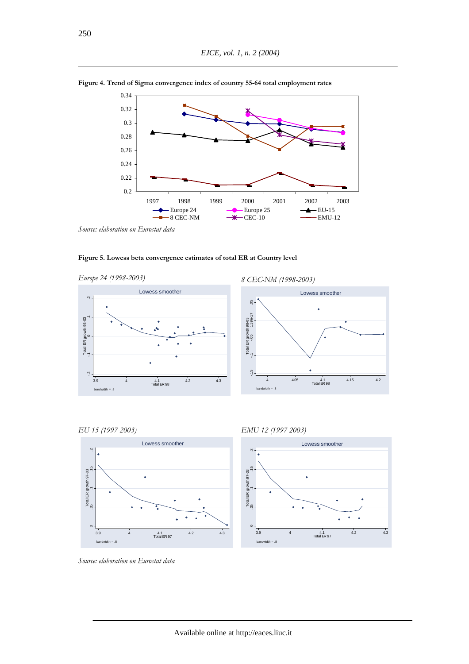

**Figure 4. Trend of Sigma convergence index of country 55-64 total employment rates** 

*Source: elaboration on Eurostat data* 

















*Source: elaboration on Eurostat data*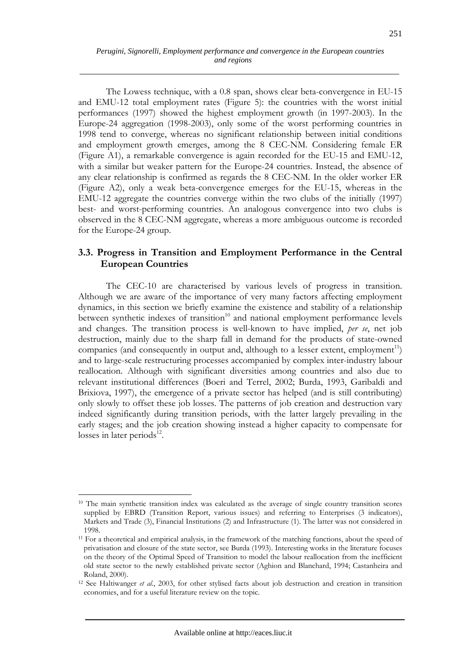The Lowess technique, with a 0.8 span, shows clear beta-convergence in EU-15 and EMU-12 total employment rates (Figure 5): the countries with the worst initial performances (1997) showed the highest employment growth (in 1997-2003). In the Europe-24 aggregation (1998-2003), only some of the worst performing countries in 1998 tend to converge, whereas no significant relationship between initial conditions and employment growth emerges, among the 8 CEC-NM. Considering female ER (Figure A1), a remarkable convergence is again recorded for the EU-15 and EMU-12, with a similar but weaker pattern for the Europe-24 countries. Instead, the absence of any clear relationship is confirmed as regards the 8 CEC-NM. In the older worker ER (Figure A2), only a weak beta-convergence emerges for the EU-15, whereas in the EMU-12 aggregate the countries converge within the two clubs of the initially (1997) best- and worst-performing countries. An analogous convergence into two clubs is observed in the 8 CEC-NM aggregate, whereas a more ambiguous outcome is recorded for the Europe-24 group.

# **3.3. Progress in Transition and Employment Performance in the Central European Countries**

The CEC-10 are characterised by various levels of progress in transition. Although we are aware of the importance of very many factors affecting employment dynamics, in this section we briefly examine the existence and stability of a relationship between synthetic indexes of transition<sup>10</sup> and national employment performance levels and changes. The transition process is well-known to have implied, *per se*, net job destruction, mainly due to the sharp fall in demand for the products of state-owned companies (and consequently in output and, although to a lesser extent, employment<sup>11</sup>) and to large-scale restructuring processes accompanied by complex inter-industry labour reallocation. Although with significant diversities among countries and also due to relevant institutional differences (Boeri and Terrel, 2002; Burda, 1993, Garibaldi and Brixiova, 1997), the emergence of a private sector has helped (and is still contributing) only slowly to offset these job losses. The patterns of job creation and destruction vary indeed significantly during transition periods, with the latter largely prevailing in the early stages; and the job creation showing instead a higher capacity to compensate for losses in later periods $^{12}$ .

<sup>&</sup>lt;sup>10</sup> The main synthetic transition index was calculated as the average of single country transition scores supplied by EBRD (Transition Report, various issues) and referring to Enterprises (3 indicators), Markets and Trade (3), Financial Institutions (2) and Infrastructure (1). The latter was not considered in 1998.

<sup>&</sup>lt;sup>11</sup> For a theoretical and empirical analysis, in the framework of the matching functions, about the speed of privatisation and closure of the state sector, see Burda (1993). Interesting works in the literature focuses on the theory of the Optimal Speed of Transition to model the labour reallocation from the inefficient old state sector to the newly established private sector (Aghion and Blanchard, 1994; Castanheira and Roland, 2000).

<sup>&</sup>lt;sup>12</sup> See Haltiwanger *et al.*, 2003, for other stylised facts about job destruction and creation in transition economies, and for a useful literature review on the topic.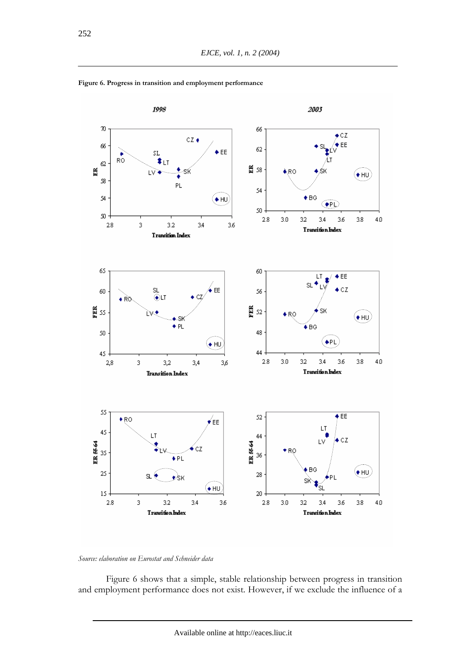

**Figure 6. Progress in transition and employment performance** 



Figure 6 shows that a simple, stable relationship between progress in transition and employment performance does not exist. However, if we exclude the influence of a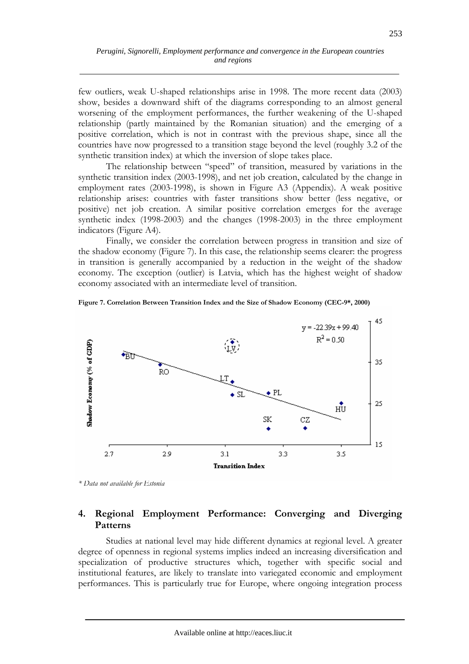few outliers, weak U-shaped relationships arise in 1998. The more recent data (2003) show, besides a downward shift of the diagrams corresponding to an almost general worsening of the employment performances, the further weakening of the U-shaped relationship (partly maintained by the Romanian situation) and the emerging of a positive correlation, which is not in contrast with the previous shape, since all the countries have now progressed to a transition stage beyond the level (roughly 3.2 of the synthetic transition index) at which the inversion of slope takes place.

The relationship between "speed" of transition, measured by variations in the synthetic transition index (2003-1998), and net job creation, calculated by the change in employment rates (2003-1998), is shown in Figure A3 (Appendix). A weak positive relationship arises: countries with faster transitions show better (less negative, or positive) net job creation. A similar positive correlation emerges for the average synthetic index (1998-2003) and the changes (1998-2003) in the three employment indicators (Figure A4).

Finally, we consider the correlation between progress in transition and size of the shadow economy (Figure 7). In this case, the relationship seems clearer: the progress in transition is generally accompanied by a reduction in the weight of the shadow economy. The exception (outlier) is Latvia, which has the highest weight of shadow economy associated with an intermediate level of transition.

**Figure 7. Correlation Between Transition Index and the Size of Shadow Economy (CEC-9\*, 2000)** 



*\* Data not available for Estonia* 

# **4. Regional Employment Performance: Converging and Diverging Patterns**

Studies at national level may hide different dynamics at regional level. A greater degree of openness in regional systems implies indeed an increasing diversification and specialization of productive structures which, together with specific social and institutional features, are likely to translate into variegated economic and employment performances. This is particularly true for Europe, where ongoing integration process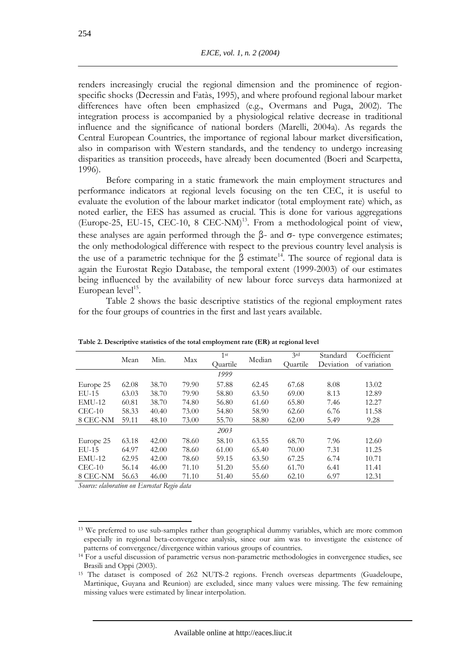renders increasingly crucial the regional dimension and the prominence of regionspecific shocks (Decressin and Fatàs, 1995), and where profound regional labour market differences have often been emphasized (e.g., Overmans and Puga, 2002). The integration process is accompanied by a physiological relative decrease in traditional influence and the significance of national borders (Marelli, 2004a). As regards the Central European Countries, the importance of regional labour market diversification, also in comparison with Western standards, and the tendency to undergo increasing disparities as transition proceeds, have already been documented (Boeri and Scarpetta, 1996).

Before comparing in a static framework the main employment structures and performance indicators at regional levels focusing on the ten CEC, it is useful to evaluate the evolution of the labour market indicator (total employment rate) which, as noted earlier, the EES has assumed as crucial. This is done for various aggregations (Europe-25, EU-15, CEC-10, 8 CEC-NM)<sup>13</sup>. From a methodological point of view, these analyses are again performed through the  $β$ - and  $σ$ - type convergence estimates; the only methodological difference with respect to the previous country level analysis is the use of a parametric technique for the  $\beta$  estimate<sup>14</sup>. The source of regional data is again the Eurostat Regio Database, the temporal extent (1999-2003) of our estimates being influenced by the availability of new labour force surveys data harmonized at European  $level<sup>15</sup>$ .

Table 2 shows the basic descriptive statistics of the regional employment rates for the four groups of countries in the first and last years available.

|           | Mean  | Min.  | Max   | 1 <sup>st</sup> | Median | 3rd      | Standard  | Coefficient  |
|-----------|-------|-------|-------|-----------------|--------|----------|-----------|--------------|
|           |       |       |       | Ouartile        |        | Ouartile | Deviation | of variation |
|           |       |       |       | 1999            |        |          |           |              |
| Europe 25 | 62.08 | 38.70 | 79.90 | 57.88           | 62.45  | 67.68    | 8.08      | 13.02        |
| $EU-15$   | 63.03 | 38.70 | 79.90 | 58.80           | 63.50  | 69.00    | 8.13      | 12.89        |
| $EMU-12$  | 60.81 | 38.70 | 74.80 | 56.80           | 61.60  | 65.80    | 7.46      | 12.27        |
| $CEC-10$  | 58.33 | 40.40 | 73.00 | 54.80           | 58.90  | 62.60    | 6.76      | 11.58        |
| 8 CEC-NM  | 59.11 | 48.10 | 73.00 | 55.70           | 58.80  | 62.00    | 5.49      | 9.28         |
|           |       |       |       | 2003            |        |          |           |              |
| Europe 25 | 63.18 | 42.00 | 78.60 | 58.10           | 63.55  | 68.70    | 7.96      | 12.60        |
| $EU-15$   | 64.97 | 42.00 | 78.60 | 61.00           | 65.40  | 70.00    | 7.31      | 11.25        |
| $EMU-12$  | 62.95 | 42.00 | 78.60 | 59.15           | 63.50  | 67.25    | 6.74      | 10.71        |
| $CEC-10$  | 56.14 | 46.00 | 71.10 | 51.20           | 55.60  | 61.70    | 6.41      | 11.41        |
| 8 CEC-NM  | 56.63 | 46.00 | 71.10 | 51.40           | 55.60  | 62.10    | 6.97      | 12.31        |

**Table 2. Descriptive statistics of the total employment rate (ER) at regional level** 

*Source: elaboration on Eurostat Regio data* 

<sup>&</sup>lt;sup>13</sup> We preferred to use sub-samples rather than geographical dummy variables, which are more common especially in regional beta-convergence analysis, since our aim was to investigate the existence of patterns of convergence/divergence within various groups of countries. 14 For a useful discussion of parametric versus non-parametric methodologies in convergence studies, see

Brasili and Oppi (2003).

<sup>15</sup> The dataset is composed of 262 NUTS-2 regions. French overseas departments (Guadeloupe, Martinique, Guyana and Reunion) are excluded, since many values were missing. The few remaining missing values were estimated by linear interpolation.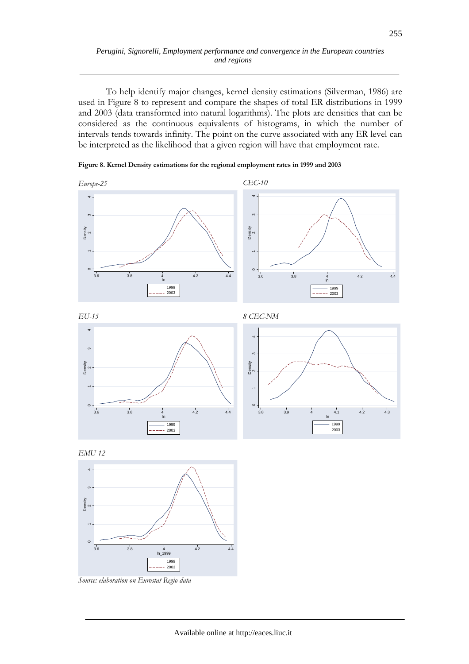### *Perugini, Signorelli, Employment performance and convergence in the European countries and regions*

To help identify major changes, kernel density estimations (Silverman, 1986) are used in Figure 8 to represent and compare the shapes of total ER distributions in 1999 and 2003 (data transformed into natural logarithms). The plots are densities that can be considered as the continuous equivalents of histograms, in which the number of intervals tends towards infinity. The point on the curve associated with any ER level can be interpreted as the likelihood that a given region will have that employment rate.













*Source: elaboration on Eurostat Regio data*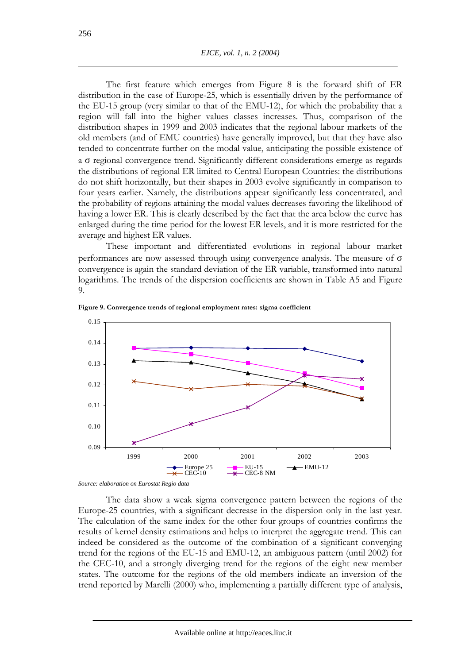The first feature which emerges from Figure 8 is the forward shift of ER distribution in the case of Europe-25, which is essentially driven by the performance of the EU-15 group (very similar to that of the EMU-12), for which the probability that a region will fall into the higher values classes increases. Thus, comparison of the distribution shapes in 1999 and 2003 indicates that the regional labour markets of the old members (and of EMU countries) have generally improved, but that they have also tended to concentrate further on the modal value, anticipating the possible existence of a σ regional convergence trend. Significantly different considerations emerge as regards the distributions of regional ER limited to Central European Countries: the distributions do not shift horizontally, but their shapes in 2003 evolve significantly in comparison to four years earlier. Namely, the distributions appear significantly less concentrated, and the probability of regions attaining the modal values decreases favoring the likelihood of having a lower ER. This is clearly described by the fact that the area below the curve has enlarged during the time period for the lowest ER levels, and it is more restricted for the average and highest ER values.

These important and differentiated evolutions in regional labour market performances are now assessed through using convergence analysis. The measure of  $\sigma$ convergence is again the standard deviation of the ER variable, transformed into natural logarithms. The trends of the dispersion coefficients are shown in Table A5 and Figure 9.



**Figure 9. Convergence trends of regional employment rates: sigma coefficient** 

*Source: elaboration on Eurostat Regio data* 

The data show a weak sigma convergence pattern between the regions of the Europe-25 countries, with a significant decrease in the dispersion only in the last year. The calculation of the same index for the other four groups of countries confirms the results of kernel density estimations and helps to interpret the aggregate trend. This can indeed be considered as the outcome of the combination of a significant converging trend for the regions of the EU-15 and EMU-12, an ambiguous pattern (until 2002) for the CEC-10, and a strongly diverging trend for the regions of the eight new member states. The outcome for the regions of the old members indicate an inversion of the trend reported by Marelli (2000) who, implementing a partially different type of analysis,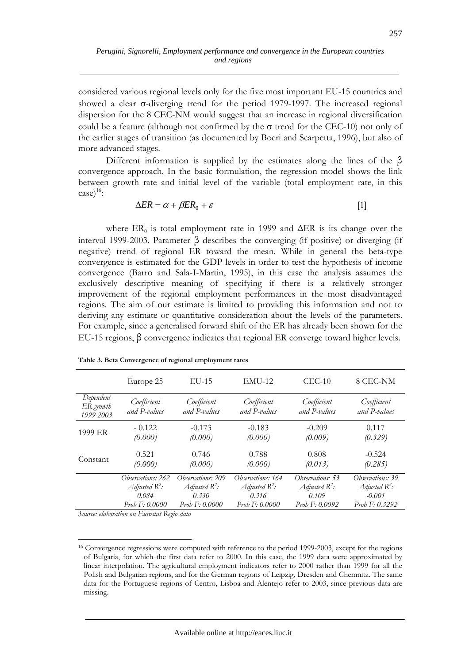considered various regional levels only for the five most important EU-15 countries and showed a clear σ-diverging trend for the period 1979-1997. The increased regional dispersion for the 8 CEC-NM would suggest that an increase in regional diversification could be a feature (although not confirmed by the σ trend for the CEC-10) not only of the earlier stages of transition (as documented by Boeri and Scarpetta, 1996), but also of more advanced stages.

Different information is supplied by the estimates along the lines of the β convergence approach. In the basic formulation, the regression model shows the link between growth rate and initial level of the variable (total employment rate, in this  $\case)^{16}$ :

$$
\Delta ER = \alpha + \beta ER_0 + \varepsilon \tag{1}
$$

where  $ER_0$  is total employment rate in 1999 and  $\Delta ER$  is its change over the interval 1999-2003. Parameter β describes the converging (if positive) or diverging (if negative) trend of regional ER toward the mean. While in general the beta-type convergence is estimated for the GDP levels in order to test the hypothesis of income convergence (Barro and Sala-I-Martin, 1995), in this case the analysis assumes the exclusively descriptive meaning of specifying if there is a relatively stronger improvement of the regional employment performances in the most disadvantaged regions. The aim of our estimate is limited to providing this information and not to deriving any estimate or quantitative consideration about the levels of the parameters. For example, since a generalised forward shift of the ER has already been shown for the EU-15 regions, β convergence indicates that regional ER converge toward higher levels.

|                                     | Europe 25                   | $EU-15$                     | $EMU-12$                    | $CEC-10$                    | 8 CEC-NM                    |
|-------------------------------------|-----------------------------|-----------------------------|-----------------------------|-----------------------------|-----------------------------|
| Dependent<br>ER growth<br>1999-2003 | Coefficient<br>and P-values | Coefficient<br>and P-values | Coefficient<br>and P-values | Coefficient<br>and P-values | Coefficient<br>and P-values |
| 1999 ER                             | $-0.122$                    | $-0.173$                    | $-0.183$                    | $-0.209$                    | 0.117                       |
|                                     | (0.000)                     | (0.000)                     | (0.000)                     | (0.009)                     | (0.329)                     |
| Constant                            | 0.521                       | 0.746                       | 0.788                       | 0.808                       | $-0.524$                    |
|                                     | (0.000)                     | (0.000)                     | (0.000)                     | (0.013)                     | (0.285)                     |
|                                     | Observations: 262           | Observations: 209           | Observations: 164           | Observations: 53            | Observations: 39            |
|                                     | Adjusted $R^2$ :            | Adjusted $R^2$ :            | Adjusted $R^2$ :            | Adjusted $R^2$ :            | Adjusted $R^2$ :            |
|                                     | 0.084                       | 0.330                       | 0.316                       | 0.109                       | $-0.001$                    |
|                                     | Prob F: 0.0000              | <i>Prob</i> $F: 0.0000$     | Prob F: 0.0000              | Prob $F: 0.0092$            | Prob F: 0.3292              |

| Table 3. Beta Convergence of regional employment rates |  |
|--------------------------------------------------------|--|
|--------------------------------------------------------|--|

*Source: elaboration on Eurostat Regio data* 

 $\overline{a}$ 16 Convergence regressions were computed with reference to the period 1999-2003, except for the regions of Bulgaria, for which the first data refer to 2000. In this case, the 1999 data were approximated by linear interpolation. The agricultural employment indicators refer to 2000 rather than 1999 for all the Polish and Bulgarian regions, and for the German regions of Leipzig, Dresden and Chemnitz. The same data for the Portuguese regions of Centro, Lisboa and Alentejo refer to 2003, since previous data are missing.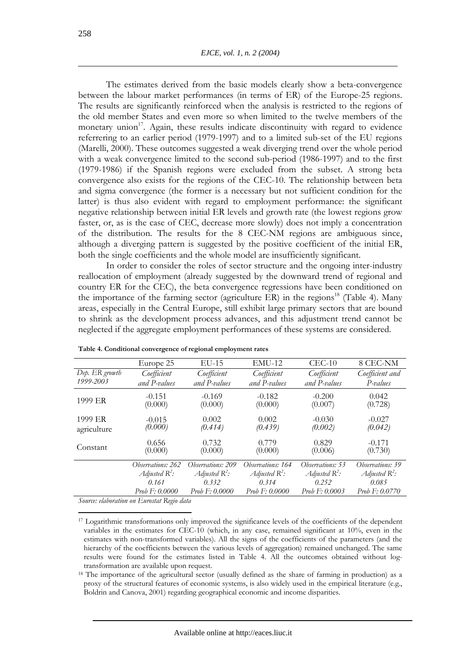The estimates derived from the basic models clearly show a beta-convergence between the labour market performances (in terms of ER) of the Europe-25 regions. The results are significantly reinforced when the analysis is restricted to the regions of the old member States and even more so when limited to the twelve members of the monetary union<sup>17</sup>. Again, these results indicate discontinuity with regard to evidence referrering to an earlier period (1979-1997) and to a limited sub-set of the EU regions (Marelli, 2000). These outcomes suggested a weak diverging trend over the whole period with a weak convergence limited to the second sub-period (1986-1997) and to the first (1979-1986) if the Spanish regions were excluded from the subset. A strong beta convergence also exists for the regions of the CEC-10. The relationship between beta and sigma convergence (the former is a necessary but not sufficient condition for the latter) is thus also evident with regard to employment performance: the significant negative relationship between initial ER levels and growth rate (the lowest regions grow faster, or, as is the case of CEC, decrease more slowly) does not imply a concentration of the distribution. The results for the 8 CEC-NM regions are ambiguous since, although a diverging pattern is suggested by the positive coefficient of the initial ER, both the single coefficients and the whole model are insufficiently significant.

In order to consider the roles of sector structure and the ongoing inter-industry reallocation of employment (already suggested by the downward trend of regional and country ER for the CEC), the beta convergence regressions have been conditioned on the importance of the farming sector (agriculture ER) in the regions<sup>18</sup> (Table 4). Many areas, especially in the Central Europe, still exhibit large primary sectors that are bound to shrink as the development process advances, and this adjustment trend cannot be neglected if the aggregate employment performances of these systems are considered.

|                        | Europe 25           | $EU-15$             | $EMU-12$              | $CEC-10$            | 8 CEC-NM            |
|------------------------|---------------------|---------------------|-----------------------|---------------------|---------------------|
| Dep. ER growth         | Coefficient         | Coefficient         | Coefficient           | Coefficient         | Coefficient and     |
| 1999-2003              | and P-values        | and P-values        | and P-values          | and P-values        | P-values            |
| 1999 ER                | $-0.151$<br>(0.000) | $-0.169$<br>(0.000) | $-0.182$<br>(0.000)   | $-0.200$<br>(0.007) | 0.042<br>(0.728)    |
| 1999 ER<br>agriculture | $-0.015$<br>(0.000) | 0.002<br>(0.414)    | 0.002<br>(0.439)      | $-0.030$<br>(0.002) | $-0.027$<br>(0.042) |
| Constant               | 0.656<br>(0.000)    | 0.732<br>(0.000)    | 0.779<br>(0.000)      | 0.829<br>(0.006)    | $-0.171$<br>(0.730) |
|                        | Observations: 262   | Observations: 209   | Observations: 164     | Observations: 53    | Observations: 39    |
|                        | Adjusted $R^2$ :    | Adjusted $R^2$ :    | Adjusted $R^2$ :      | Adjusted $R^2$ :    | Adjusted $R^2$ :    |
|                        | 0.161               | 0.332               | 0.314                 | 0.252               | 0.085               |
|                        | Prob F: 0.0000      | Prob F: 0.0000      | <i>Prob F: 0.0000</i> | Prob $F: 0.0003$    | Prob F: 0.0770      |

**Table 4. Conditional convergence of regional employment rates** 

*Source: elaboration on Eurostat Regio data* 

<sup>&</sup>lt;sup>17</sup> Logarithmic transformations only improved the significance levels of the coefficients of the dependent variables in the estimates for CEC-10 (which, in any case, remained significant at 10%, even in the estimates with non-transformed variables). All the signs of the coefficients of the parameters (and the hierarchy of the coefficients between the various levels of aggregation) remained unchanged. The same results were found for the estimates listed in Table 4. All the outcomes obtained without logtransformation are available upon request.

<sup>&</sup>lt;sup>18</sup> The importance of the agricultural sector (usually defined as the share of farming in production) as a proxy of the structural features of economic systems, is also widely used in the empirical literature (e.g., Boldrin and Canova, 2001) regarding geographical economic and income disparities.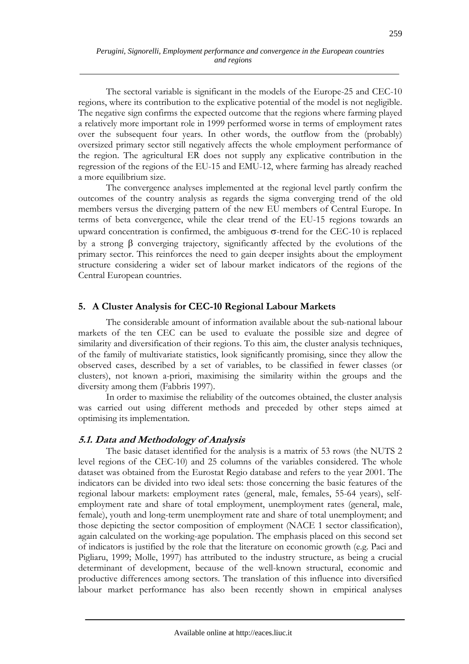The sectoral variable is significant in the models of the Europe-25 and CEC-10 regions, where its contribution to the explicative potential of the model is not negligible. The negative sign confirms the expected outcome that the regions where farming played a relatively more important role in 1999 performed worse in terms of employment rates over the subsequent four years. In other words, the outflow from the (probably) oversized primary sector still negatively affects the whole employment performance of the region. The agricultural ER does not supply any explicative contribution in the regression of the regions of the EU-15 and EMU-12, where farming has already reached a more equilibrium size.

The convergence analyses implemented at the regional level partly confirm the outcomes of the country analysis as regards the sigma converging trend of the old members versus the diverging pattern of the new EU members of Central Europe. In terms of beta convergence, while the clear trend of the EU-15 regions towards an upward concentration is confirmed, the ambiguous  $\sigma$ -trend for the CEC-10 is replaced by a strong β converging trajectory, significantly affected by the evolutions of the primary sector. This reinforces the need to gain deeper insights about the employment structure considering a wider set of labour market indicators of the regions of the Central European countries.

# **5. A Cluster Analysis for CEC-10 Regional Labour Markets**

The considerable amount of information available about the sub-national labour markets of the ten CEC can be used to evaluate the possible size and degree of similarity and diversification of their regions. To this aim, the cluster analysis techniques, of the family of multivariate statistics, look significantly promising, since they allow the observed cases, described by a set of variables, to be classified in fewer classes (or clusters), not known a-priori, maximising the similarity within the groups and the diversity among them (Fabbris 1997).

In order to maximise the reliability of the outcomes obtained, the cluster analysis was carried out using different methods and preceded by other steps aimed at optimising its implementation.

# **5.1. Data and Methodology of Analysis**

The basic dataset identified for the analysis is a matrix of 53 rows (the NUTS 2 level regions of the CEC-10) and 25 columns of the variables considered. The whole dataset was obtained from the Eurostat Regio database and refers to the year 2001. The indicators can be divided into two ideal sets: those concerning the basic features of the regional labour markets: employment rates (general, male, females, 55-64 years), selfemployment rate and share of total employment, unemployment rates (general, male, female), youth and long-term unemployment rate and share of total unemployment; and those depicting the sector composition of employment (NACE 1 sector classification), again calculated on the working-age population. The emphasis placed on this second set of indicators is justified by the role that the literature on economic growth (e.g. Paci and Pigliaru, 1999; Molle, 1997) has attributed to the industry structure, as being a crucial determinant of development, because of the well-known structural, economic and productive differences among sectors. The translation of this influence into diversified labour market performance has also been recently shown in empirical analyses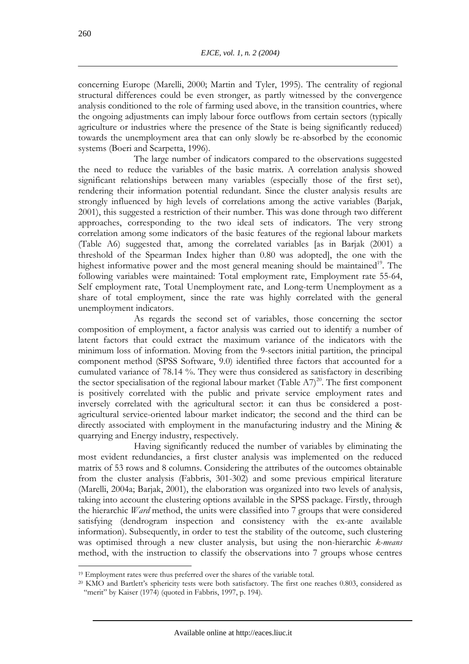concerning Europe (Marelli, 2000; Martin and Tyler, 1995). The centrality of regional structural differences could be even stronger, as partly witnessed by the convergence analysis conditioned to the role of farming used above, in the transition countries, where the ongoing adjustments can imply labour force outflows from certain sectors (typically agriculture or industries where the presence of the State is being significantly reduced) towards the unemployment area that can only slowly be re-absorbed by the economic systems (Boeri and Scarpetta, 1996).

The large number of indicators compared to the observations suggested the need to reduce the variables of the basic matrix. A correlation analysis showed significant relationships between many variables (especially those of the first set), rendering their information potential redundant. Since the cluster analysis results are strongly influenced by high levels of correlations among the active variables (Barjak, 2001), this suggested a restriction of their number. This was done through two different approaches, corresponding to the two ideal sets of indicators. The very strong correlation among some indicators of the basic features of the regional labour markets (Table A6) suggested that, among the correlated variables [as in Barjak (2001) a threshold of the Spearman Index higher than 0.80 was adopted], the one with the highest informative power and the most general meaning should be maintained<sup>19</sup>. The following variables were maintained: Total employment rate, Employment rate 55-64, Self employment rate, Total Unemployment rate, and Long-term Unemployment as a share of total employment, since the rate was highly correlated with the general unemployment indicators.

 As regards the second set of variables, those concerning the sector composition of employment, a factor analysis was carried out to identify a number of latent factors that could extract the maximum variance of the indicators with the minimum loss of information. Moving from the 9-sectors initial partition, the principal component method (SPSS Software, 9.0) identified three factors that accounted for a cumulated variance of 78.14 %. They were thus considered as satisfactory in describing the sector specialisation of the regional labour market (Table  $A7$ )<sup>20</sup>. The first component is positively correlated with the public and private service employment rates and inversely correlated with the agricultural sector: it can thus be considered a postagricultural service-oriented labour market indicator; the second and the third can be directly associated with employment in the manufacturing industry and the Mining & quarrying and Energy industry, respectively.

 Having significantly reduced the number of variables by eliminating the most evident redundancies, a first cluster analysis was implemented on the reduced matrix of 53 rows and 8 columns. Considering the attributes of the outcomes obtainable from the cluster analysis (Fabbris, 301-302) and some previous empirical literature (Marelli, 2004a; Barjak, 2001), the elaboration was organized into two levels of analysis, taking into account the clustering options available in the SPSS package. Firstly, through the hierarchic *Ward* method, the units were classified into 7 groups that were considered satisfying (dendrogram inspection and consistency with the ex-ante available information). Subsequently, in order to test the stability of the outcome, such clustering was optimised through a new cluster analysis, but using the non-hierarchic *k-means* method, with the instruction to classify the observations into 7 groups whose centres

<sup>&</sup>lt;sup>19</sup> Employment rates were thus preferred over the shares of the variable total.<br><sup>20</sup> KMO and Bartlett's sphericity tests were both satisfactory. The first one reaches 0.803, considered as "merit" by Kaiser (1974) (quoted in Fabbris, 1997, p. 194).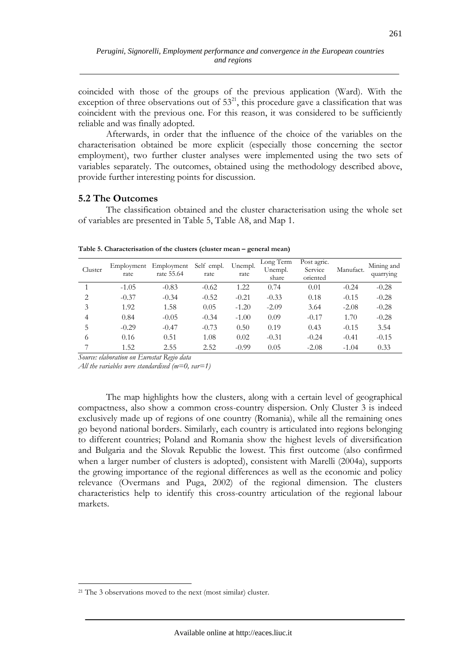coincided with those of the groups of the previous application (Ward). With the exception of three observations out of  $53^{21}$ , this procedure gave a classification that was coincident with the previous one. For this reason, it was considered to be sufficiently reliable and was finally adopted.

Afterwards, in order that the influence of the choice of the variables on the characterisation obtained be more explicit (especially those concerning the sector employment), two further cluster analyses were implemented using the two sets of variables separately. The outcomes, obtained using the methodology described above, provide further interesting points for discussion.

# **5.2 The Outcomes**

The classification obtained and the cluster characterisation using the whole set of variables are presented in Table 5, Table A8, and Map 1.

| Cluster | Employment<br>rate | Employment<br>rate 55.64 | Self empl.<br>rate | Unempl.<br>rate | Long Term<br>Unempl.<br>share | Post agric.<br>Service<br>oriented | Manufact. | Mining and<br>quarrying |
|---------|--------------------|--------------------------|--------------------|-----------------|-------------------------------|------------------------------------|-----------|-------------------------|
|         | $-1.05$            | $-0.83$                  | $-0.62$            | 1.22            | 0.74                          | 0.01                               | $-0.24$   | $-0.28$                 |
| 2       | $-0.37$            | $-0.34$                  | $-0.52$            | $-0.21$         | $-0.33$                       | 0.18                               | $-0.15$   | $-0.28$                 |
| 3       | 1.92               | 1.58                     | 0.05               | $-1.20$         | $-2.09$                       | 3.64                               | $-2.08$   | $-0.28$                 |
| 4       | 0.84               | $-0.05$                  | $-0.34$            | $-1.00$         | 0.09                          | $-0.17$                            | 1.70      | $-0.28$                 |
| 5       | $-0.29$            | $-0.47$                  | $-0.73$            | 0.50            | 0.19                          | 0.43                               | $-0.15$   | 3.54                    |
| 6       | 0.16               | 0.51                     | 1.08               | 0.02            | $-0.31$                       | $-0.24$                            | $-0.41$   | $-0.15$                 |
|         | 1.52               | 2.55                     | 2.52               | $-0.99$         | 0.05                          | $-2.08$                            | $-1.04$   | 0.33                    |

**Table 5. Characterisation of the clusters (cluster mean – general mean)** 

*Source: elaboration on Eurostat Regio data* 

*All the variables were standardised (m=0, var=1)* 

The map highlights how the clusters, along with a certain level of geographical compactness, also show a common cross-country dispersion. Only Cluster 3 is indeed exclusively made up of regions of one country (Romania), while all the remaining ones go beyond national borders. Similarly, each country is articulated into regions belonging to different countries; Poland and Romania show the highest levels of diversification and Bulgaria and the Slovak Republic the lowest. This first outcome (also confirmed when a larger number of clusters is adopted), consistent with Marelli (2004a), supports the growing importance of the regional differences as well as the economic and policy relevance (Overmans and Puga, 2002) of the regional dimension. The clusters characteristics help to identify this cross-country articulation of the regional labour markets.

<sup>&</sup>lt;sup>21</sup> The 3 observations moved to the next (most similar) cluster.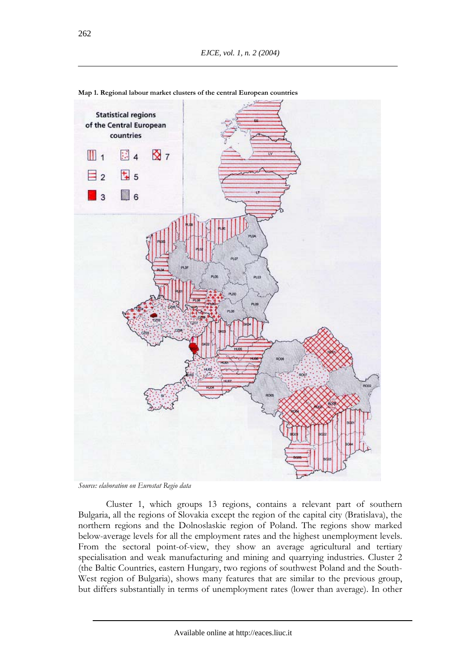

**Map 1. Regional labour market clusters of the central European countries** 

Cluster 1, which groups 13 regions, contains a relevant part of southern Bulgaria, all the regions of Slovakia except the region of the capital city (Bratislava), the northern regions and the Dolnoslaskie region of Poland. The regions show marked below-average levels for all the employment rates and the highest unemployment levels. From the sectoral point-of-view, they show an average agricultural and tertiary specialisation and weak manufacturing and mining and quarrying industries. Cluster 2 (the Baltic Countries, eastern Hungary, two regions of southwest Poland and the South-West region of Bulgaria), shows many features that are similar to the previous group, but differs substantially in terms of unemployment rates (lower than average). In other

*Source: elaboration on Eurostat Regio data*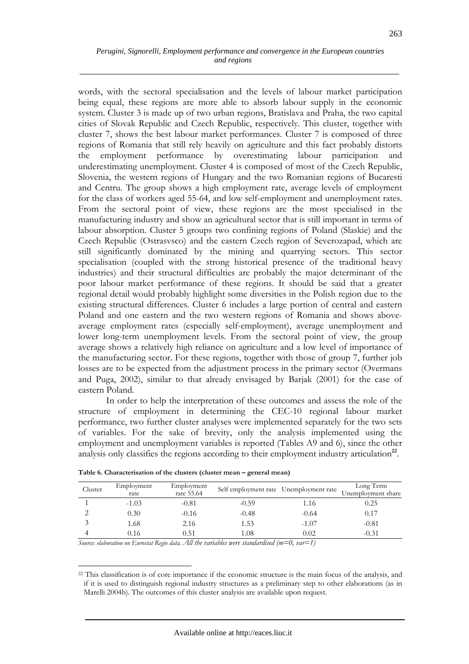words, with the sectoral specialisation and the levels of labour market participation being equal, these regions are more able to absorb labour supply in the economic system. Cluster 3 is made up of two urban regions, Bratislava and Praha, the two capital cities of Slovak Republic and Czech Republic, respectively. This cluster, together with cluster 7, shows the best labour market performances. Cluster 7 is composed of three regions of Romania that still rely heavily on agriculture and this fact probably distorts the employment performance by overestimating labour participation and underestimating unemployment. Cluster 4 is composed of most of the Czech Republic, Slovenia, the western regions of Hungary and the two Romanian regions of Bucaresti and Centru. The group shows a high employment rate, average levels of employment for the class of workers aged 55-64, and low self-employment and unemployment rates. From the sectoral point of view, these regions are the most specialised in the manufacturing industry and show an agricultural sector that is still important in terms of labour absorption. Cluster 5 groups two confining regions of Poland (Slaskie) and the Czech Republic (Ostrasvsco) and the eastern Czech region of Severozapad, which are still significantly dominated by the mining and quarrying sectors. This sector specialisation (coupled with the strong historical presence of the traditional heavy industries) and their structural difficulties are probably the major determinant of the poor labour market performance of these regions. It should be said that a greater regional detail would probably highlight some diversities in the Polish region due to the existing structural differences. Cluster 6 includes a large portion of central and eastern Poland and one eastern and the two western regions of Romania and shows aboveaverage employment rates (especially self-employment), average unemployment and lower long-term unemployment levels. From the sectoral point of view, the group average shows a relatively high reliance on agriculture and a low level of importance of the manufacturing sector. For these regions, together with those of group 7, further job losses are to be expected from the adjustment process in the primary sector (Overmans and Puga, 2002), similar to that already envisaged by Barjak (2001) for the case of eastern Poland.

In order to help the interpretation of these outcomes and assess the role of the structure of employment in determining the CEC-10 regional labour market performance, two further cluster analyses were implemented separately for the two sets of variables. For the sake of brevity, only the analysis implemented using the employment and unemployment variables is reported (Tables A9 and 6), since the other analysis only classifies the regions according to their employment industry articulation**<sup>22</sup>**.

| Cluster | Employment<br>rate | Employment<br>rate 55.64 | Self employment rate Unemployment rate |         | Long Term<br>Unemployment share |
|---------|--------------------|--------------------------|----------------------------------------|---------|---------------------------------|
|         | $-1.03$            | $-0.81$                  | $-0.59$                                | 1.16    | 0.25                            |
|         | 0.30               | $-0.16$                  | $-0.48$                                | $-0.64$ | 0.17                            |
|         | 1.68               | 2.16                     | 1.53                                   | $-1.07$ | $-0.81$                         |
|         | 0.16               | 0.51                     | 1.08                                   | 0.02    | $-0.31$                         |

| Table 6. Characterisation of the clusters (cluster mean - general mean) |  |
|-------------------------------------------------------------------------|--|
|-------------------------------------------------------------------------|--|

*Source: elaboration on Eurostat Regio data. All the variables were standardised (m=0, var=1)* 

 $\overline{a}$ 

<sup>22</sup> This classification is of core importance if the economic structure is the main focus of the analysis, and if it is used to distinguish regional industry structures as a preliminary step to other elaborations (as in Marelli 2004b). The outcomes of this cluster analysis are available upon request.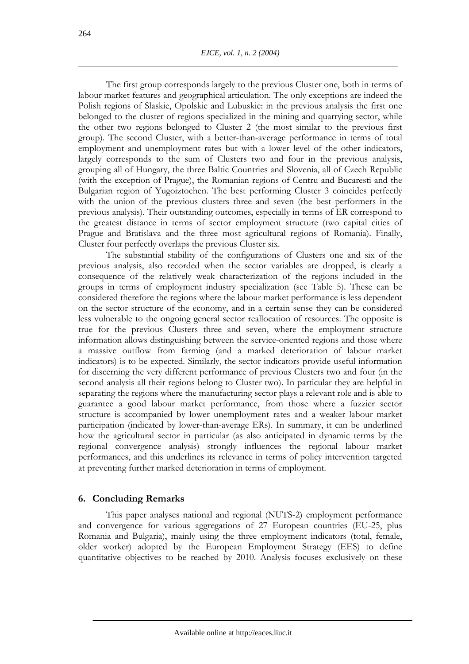The first group corresponds largely to the previous Cluster one, both in terms of labour market features and geographical articulation. The only exceptions are indeed the Polish regions of Slaskie, Opolskie and Lubuskie: in the previous analysis the first one belonged to the cluster of regions specialized in the mining and quarrying sector, while the other two regions belonged to Cluster 2 (the most similar to the previous first group). The second Cluster, with a better-than-average performance in terms of total employment and unemployment rates but with a lower level of the other indicators, largely corresponds to the sum of Clusters two and four in the previous analysis, grouping all of Hungary, the three Baltic Countries and Slovenia, all of Czech Republic (with the exception of Prague), the Romanian regions of Centru and Bucaresti and the Bulgarian region of Yugoiztochen. The best performing Cluster 3 coincides perfectly with the union of the previous clusters three and seven (the best performers in the previous analysis). Their outstanding outcomes, especially in terms of ER correspond to the greatest distance in terms of sector employment structure (two capital cities of Prague and Bratislava and the three most agricultural regions of Romania). Finally, Cluster four perfectly overlaps the previous Cluster six.

The substantial stability of the configurations of Clusters one and six of the previous analysis, also recorded when the sector variables are dropped, is clearly a consequence of the relatively weak characterization of the regions included in the groups in terms of employment industry specialization (see Table 5). These can be considered therefore the regions where the labour market performance is less dependent on the sector structure of the economy, and in a certain sense they can be considered less vulnerable to the ongoing general sector reallocation of resources. The opposite is true for the previous Clusters three and seven, where the employment structure information allows distinguishing between the service-oriented regions and those where a massive outflow from farming (and a marked deterioration of labour market indicators) is to be expected. Similarly, the sector indicators provide useful information for discerning the very different performance of previous Clusters two and four (in the second analysis all their regions belong to Cluster two). In particular they are helpful in separating the regions where the manufacturing sector plays a relevant role and is able to guarantee a good labour market performance, from those where a fuzzier sector structure is accompanied by lower unemployment rates and a weaker labour market participation (indicated by lower-than-average ERs). In summary, it can be underlined how the agricultural sector in particular (as also anticipated in dynamic terms by the regional convergence analysis) strongly influences the regional labour market performances, and this underlines its relevance in terms of policy intervention targeted at preventing further marked deterioration in terms of employment.

### **6. Concluding Remarks**

This paper analyses national and regional (NUTS-2) employment performance and convergence for various aggregations of 27 European countries (EU-25, plus Romania and Bulgaria), mainly using the three employment indicators (total, female, older worker) adopted by the European Employment Strategy (EES) to define quantitative objectives to be reached by 2010. Analysis focuses exclusively on these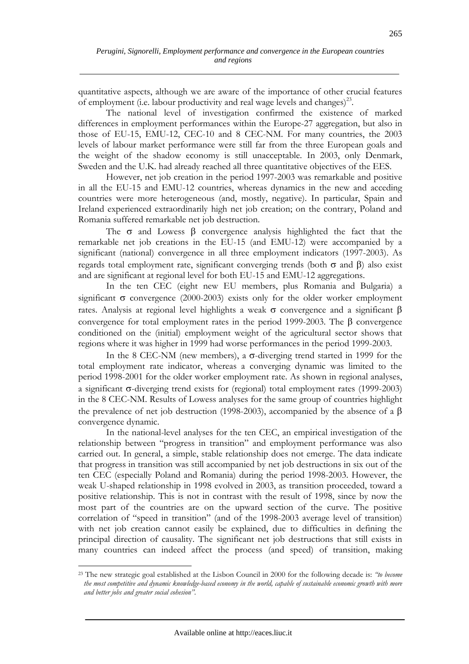quantitative aspects, although we are aware of the importance of other crucial features of employment (i.e. labour productivity and real wage levels and changes)<sup>23</sup>.

The national level of investigation confirmed the existence of marked differences in employment performances within the Europe-27 aggregation, but also in those of EU-15, EMU-12, CEC-10 and 8 CEC-NM. For many countries, the 2003 levels of labour market performance were still far from the three European goals and the weight of the shadow economy is still unacceptable. In 2003, only Denmark, Sweden and the U.K. had already reached all three quantitative objectives of the EES.

However, net job creation in the period 1997-2003 was remarkable and positive in all the EU-15 and EMU-12 countries, whereas dynamics in the new and acceding countries were more heterogeneous (and, mostly, negative). In particular, Spain and Ireland experienced extraordinarily high net job creation; on the contrary, Poland and Romania suffered remarkable net job destruction.

The  $\sigma$  and Lowess  $\beta$  convergence analysis highlighted the fact that the remarkable net job creations in the EU-15 (and EMU-12) were accompanied by a significant (national) convergence in all three employment indicators (1997-2003). As regards total employment rate, significant converging trends (both σ and β) also exist and are significant at regional level for both EU-15 and EMU-12 aggregations.

In the ten CEC (eight new EU members, plus Romania and Bulgaria) a significant  $\sigma$  convergence (2000-2003) exists only for the older worker employment rates. Analysis at regional level highlights a weak σ convergence and a significant β convergence for total employment rates in the period 1999-2003. The β convergence conditioned on the (initial) employment weight of the agricultural sector shows that regions where it was higher in 1999 had worse performances in the period 1999-2003.

In the 8 CEC-NM (new members), a σ-diverging trend started in 1999 for the total employment rate indicator, whereas a converging dynamic was limited to the period 1998-2001 for the older worker employment rate. As shown in regional analyses, a significant σ-diverging trend exists for (regional) total employment rates (1999-2003) in the 8 CEC-NM. Results of Lowess analyses for the same group of countries highlight the prevalence of net job destruction (1998-2003), accompanied by the absence of a β convergence dynamic.

In the national-level analyses for the ten CEC, an empirical investigation of the relationship between "progress in transition" and employment performance was also carried out. In general, a simple, stable relationship does not emerge. The data indicate that progress in transition was still accompanied by net job destructions in six out of the ten CEC (especially Poland and Romania) during the period 1998-2003. However, the weak U-shaped relationship in 1998 evolved in 2003, as transition proceeded, toward a positive relationship. This is not in contrast with the result of 1998, since by now the most part of the countries are on the upward section of the curve. The positive correlation of "speed in transition" (and of the 1998-2003 average level of transition) with net job creation cannot easily be explained, due to difficulties in defining the principal direction of causality. The significant net job destructions that still exists in many countries can indeed affect the process (and speed) of transition, making

<sup>23</sup> The new strategic goal established at the Lisbon Council in 2000 for the following decade is: *"to become the most competitive and dynamic knowledge-based economy in the world, capable of sustainable economic growth with more and better jobs and greater social cohesion"*.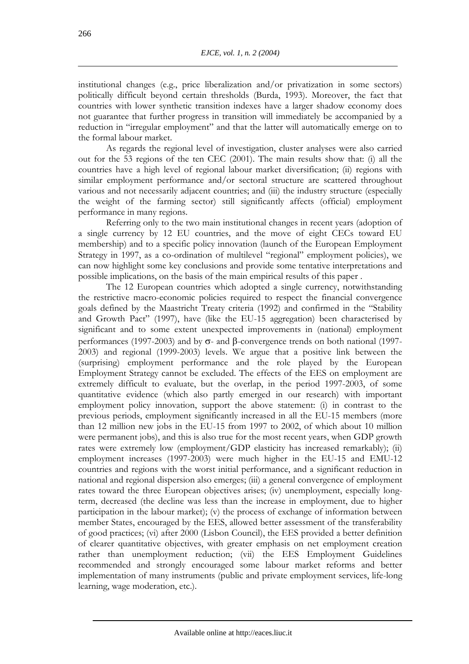institutional changes (e.g., price liberalization and/or privatization in some sectors) politically difficult beyond certain thresholds (Burda, 1993). Moreover, the fact that countries with lower synthetic transition indexes have a larger shadow economy does not guarantee that further progress in transition will immediately be accompanied by a reduction in "irregular employment" and that the latter will automatically emerge on to the formal labour market.

As regards the regional level of investigation, cluster analyses were also carried out for the 53 regions of the ten CEC (2001). The main results show that: (i) all the countries have a high level of regional labour market diversification; (ii) regions with similar employment performance and/or sectoral structure are scattered throughout various and not necessarily adjacent countries; and (iii) the industry structure (especially the weight of the farming sector) still significantly affects (official) employment performance in many regions.

Referring only to the two main institutional changes in recent years (adoption of a single currency by 12 EU countries, and the move of eight CECs toward EU membership) and to a specific policy innovation (launch of the European Employment Strategy in 1997, as a co-ordination of multilevel "regional" employment policies), we can now highlight some key conclusions and provide some tentative interpretations and possible implications, on the basis of the main empirical results of this paper .

The 12 European countries which adopted a single currency, notwithstanding the restrictive macro-economic policies required to respect the financial convergence goals defined by the Maastricht Treaty criteria (1992) and confirmed in the "Stability and Growth Pact" (1997), have (like the EU-15 aggregation) been characterised by significant and to some extent unexpected improvements in (national) employment performances (1997-2003) and by σ- and β-convergence trends on both national (1997- 2003) and regional (1999-2003) levels. We argue that a positive link between the (surprising) employment performance and the role played by the European Employment Strategy cannot be excluded. The effects of the EES on employment are extremely difficult to evaluate, but the overlap, in the period 1997-2003, of some quantitative evidence (which also partly emerged in our research) with important employment policy innovation, support the above statement: (i) in contrast to the previous periods, employment significantly increased in all the EU-15 members (more than 12 million new jobs in the EU-15 from 1997 to 2002, of which about 10 million were permanent jobs), and this is also true for the most recent years, when GDP growth rates were extremely low (employment/GDP elasticity has increased remarkably); (ii) employment increases (1997-2003) were much higher in the EU-15 and EMU-12 countries and regions with the worst initial performance, and a significant reduction in national and regional dispersion also emerges; (iii) a general convergence of employment rates toward the three European objectives arises; (iv) unemployment, especially longterm, decreased (the decline was less than the increase in employment, due to higher participation in the labour market); (v) the process of exchange of information between member States, encouraged by the EES, allowed better assessment of the transferability of good practices; (vi) after 2000 (Lisbon Council), the EES provided a better definition of clearer quantitative objectives, with greater emphasis on net employment creation rather than unemployment reduction; (vii) the EES Employment Guidelines recommended and strongly encouraged some labour market reforms and better implementation of many instruments (public and private employment services, life-long learning, wage moderation, etc.).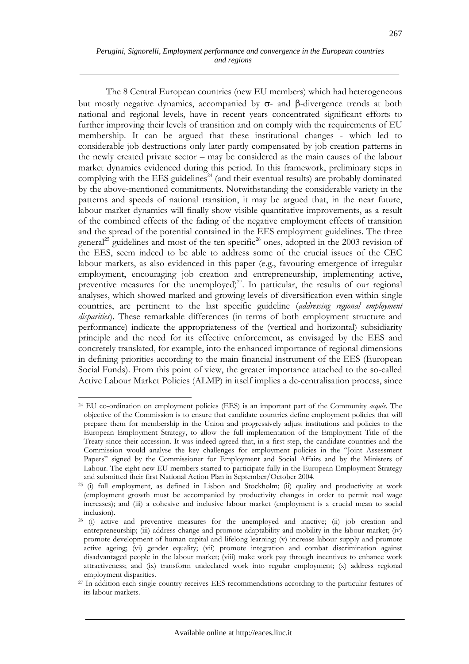267

The 8 Central European countries (new EU members) which had heterogeneous but mostly negative dynamics, accompanied by σ- and β-divergence trends at both national and regional levels, have in recent years concentrated significant efforts to further improving their levels of transition and on comply with the requirements of EU membership. It can be argued that these institutional changes - which led to considerable job destructions only later partly compensated by job creation patterns in the newly created private sector – may be considered as the main causes of the labour market dynamics evidenced during this period. In this framework, preliminary steps in complying with the EES guidelines<sup> $24$ </sup> (and their eventual results) are probably dominated by the above-mentioned commitments. Notwithstanding the considerable variety in the patterns and speeds of national transition, it may be argued that, in the near future, labour market dynamics will finally show visible quantitative improvements, as a result of the combined effects of the fading of the negative employment effects of transition and the spread of the potential contained in the EES employment guidelines. The three general<sup>25</sup> guidelines and most of the ten specific<sup>26</sup> ones, adopted in the 2003 revision of the EES, seem indeed to be able to address some of the crucial issues of the CEC labour markets, as also evidenced in this paper (e.g., favouring emergence of irregular employment, encouraging job creation and entrepreneurship, implementing active, preventive measures for the unemployed)<sup>27</sup>. In particular, the results of our regional analyses, which showed marked and growing levels of diversification even within single countries, are pertinent to the last specific guideline (*addressing regional employment disparities*). These remarkable differences (in terms of both employment structure and performance) indicate the appropriateness of the (vertical and horizontal) subsidiarity principle and the need for its effective enforcement, as envisaged by the EES and concretely translated, for example, into the enhanced importance of regional dimensions in defining priorities according to the main financial instrument of the EES (European Social Funds). From this point of view, the greater importance attached to the so-called Active Labour Market Policies (ALMP) in itself implies a de-centralisation process, since

 $\overline{a}$ 24 EU co-ordination on employment policies (EES) is an important part of the Community *acquis*. The objective of the Commission is to ensure that candidate countries define employment policies that will prepare them for membership in the Union and progressively adjust institutions and policies to the European Employment Strategy, to allow the full implementation of the Employment Title of the Treaty since their accession. It was indeed agreed that, in a first step, the candidate countries and the Commission would analyse the key challenges for employment policies in the "Joint Assessment Papers" signed by the Commissioner for Employment and Social Affairs and by the Ministers of Labour. The eight new EU members started to participate fully in the European Employment Strategy and submitted their first National Action Plan in September/October 2004.<br><sup>25</sup> (i) full employment, as defined in Lisbon and Stockholm; (ii) quality and productivity at work

<sup>(</sup>employment growth must be accompanied by productivity changes in order to permit real wage increases); and (iii) a cohesive and inclusive labour market (employment is a crucial mean to social inclusion).

 $26$  (i) active and preventive measures for the unemployed and inactive; (ii) job creation and entrepreneurship; (iii) address change and promote adaptability and mobility in the labour market; (iv) promote development of human capital and lifelong learning; (v) increase labour supply and promote active ageing; (vi) gender equality; (vii) promote integration and combat discrimination against disadvantaged people in the labour market; (viii) make work pay through incentives to enhance work attractiveness; and (ix) transform undeclared work into regular employment; (x) address regional employment disparities.

<sup>&</sup>lt;sup>27</sup> In addition each single country receives EES recommendations according to the particular features of its labour markets.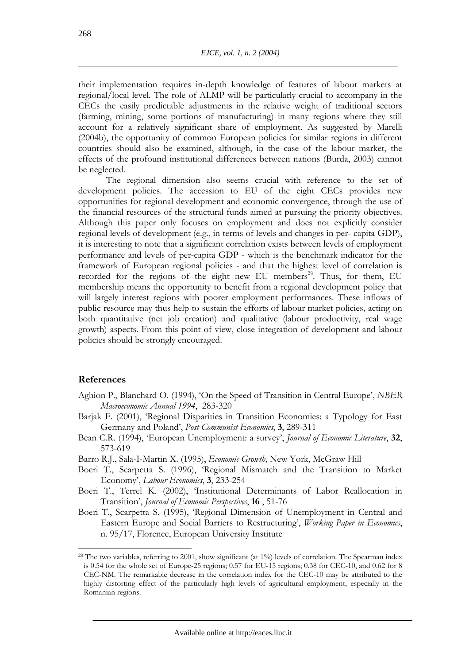their implementation requires in-depth knowledge of features of labour markets at regional/local level. The role of ALMP will be particularly crucial to accompany in the CECs the easily predictable adjustments in the relative weight of traditional sectors (farming, mining, some portions of manufacturing) in many regions where they still account for a relatively significant share of employment. As suggested by Marelli (2004b), the opportunity of common European policies for similar regions in different countries should also be examined, although, in the case of the labour market, the effects of the profound institutional differences between nations (Burda, 2003) cannot be neglected.

The regional dimension also seems crucial with reference to the set of development policies. The accession to EU of the eight CECs provides new opportunities for regional development and economic convergence, through the use of the financial resources of the structural funds aimed at pursuing the priority objectives. Although this paper only focuses on employment and does not explicitly consider regional levels of development (e.g., in terms of levels and changes in per- capita GDP), it is interesting to note that a significant correlation exists between levels of employment performance and levels of per-capita GDP - which is the benchmark indicator for the framework of European regional policies - and that the highest level of correlation is recorded for the regions of the eight new EU members<sup>28</sup>. Thus, for them, EU membership means the opportunity to benefit from a regional development policy that will largely interest regions with poorer employment performances. These inflows of public resource may thus help to sustain the efforts of labour market policies, acting on both quantitative (net job creation) and qualitative (labour productivity, real wage growth) aspects. From this point of view, close integration of development and labour policies should be strongly encouraged.

### **References**

- Aghion P., Blanchard O. (1994), 'On the Speed of Transition in Central Europe', *NBER Macroeconomic Annual 1994*, 283-320
- Barjak F. (2001), 'Regional Disparities in Transition Economies: a Typology for East Germany and Poland', *Post Communist Economies*, **3**, 289-311
- Bean C.R. (1994), 'European Unemployment: a survey', *Journal of Economic Literature*, **32**, 573-619
- Barro R.J., Sala-I-Martin X. (1995), *Economic Growth*, New York, McGraw Hill
- Boeri T., Scarpetta S. (1996), 'Regional Mismatch and the Transition to Market Economy', *Labour Economics*, **3**, 233-254
- Boeri T., Terrel K. (2002), 'Institutional Determinants of Labor Reallocation in Transition', *Journal of Economic Perspectives*, **16** , 51-76
- Boeri T., Scarpetta S. (1995), 'Regional Dimension of Unemployment in Central and Eastern Europe and Social Barriers to Restructuring', *Working Paper in Economics*, n. 95/17, Florence, European University Institute

<sup>&</sup>lt;sup>28</sup> The two variables, referring to 2001, show significant (at 1%) levels of correlation. The Spearman index is 0.54 for the whole set of Europe-25 regions; 0.57 for EU-15 regions; 0.38 for CEC-10, and 0.62 for 8 CEC-NM. The remarkable decrease in the correlation index for the CEC-10 may be attributed to the highly distorting effect of the particularly high levels of agricultural employment, especially in the Romanian regions.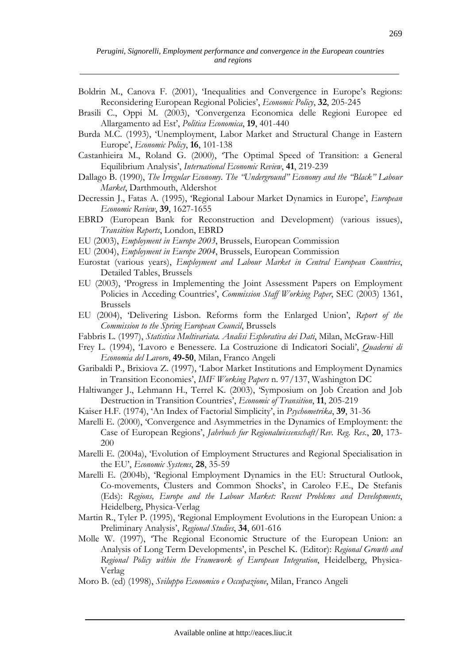- Boldrin M., Canova F. (2001), 'Inequalities and Convergence in Europe's Regions: Reconsidering European Regional Policies', *Economic Policy*, **32**, 205-245
- Brasili C., Oppi M. (2003), 'Convergenza Economica delle Regioni Europee ed Allargamento ad Est', *Politica Economica*, **19**, 401-440
- Burda M.C. (1993), 'Unemployment, Labor Market and Structural Change in Eastern Europe', *Economic Policy*, **16**, 101-138
- Castanhieira M., Roland G. (2000), 'The Optimal Speed of Transition: a General Equilibrium Analysis', *International Economic Review*, **41**, 219-239
- Dallago B. (1990), *The Irregular Economy. The "Underground" Economy and the "Black" Labour Market*, Darthmouth, Aldershot
- Decressin J., Fatas A. (1995), 'Regional Labour Market Dynamics in Europe', *European Economic Review*, **39**, 1627-1655
- EBRD (European Bank for Reconstruction and Development) (various issues), *Transition Reports*, London, EBRD
- EU (2003), *Employment in Europe 2003*, Brussels, European Commission
- EU (2004), *Employment in Europe 2004*, Brussels, European Commission
- Eurostat (various years), *Employment and Labour Market in Central European Countries*, Detailed Tables, Brussels
- EU (2003), 'Progress in Implementing the Joint Assessment Papers on Employment Policies in Acceding Countries', *Commission Staff Working Paper*, SEC (2003) 1361, Brussels
- EU (2004), 'Delivering Lisbon. Reforms form the Enlarged Union', *Report of the Commission to the Spring European Council*, Brussels
- Fabbris L. (1997), *Statistica Multivariata. Analisi Esplorativa dei Dati*, Milan, McGraw-Hill
- Frey L. (1994), 'Lavoro e Benessere. La Costruzione di Indicatori Sociali', *Quaderni di Economia del Lavoro*, **49-50**, Milan, Franco Angeli
- Garibaldi P., Brixiova Z. (1997), 'Labor Market Institutions and Employment Dynamics in Transition Economies', *IMF Working Papers* n. 97/137, Washington DC
- Haltiwanger J., Lehmann H., Terrel K. (2003), 'Symposium on Job Creation and Job Destruction in Transition Countries', *Economic of Transition*, **11**, 205-219
- Kaiser H.F. (1974), 'An Index of Factorial Simplicity', in *Psychometrika*, **39**, 31-36
- Marelli E. (2000), 'Convergence and Asymmetries in the Dynamics of Employment: the Case of European Regions', *Jahrbuch fur Regionalwissenschaft/Rev. Reg. Res.*, **20**, 173- 200
- Marelli E. (2004a), 'Evolution of Employment Structures and Regional Specialisation in the EU', *Economic Systems*, **28**, 35-59
- Marelli E. (2004b), 'Regional Employment Dynamics in the EU: Structural Outlook, Co-movements, Clusters and Common Shocks', in Caroleo F.E., De Stefanis (Eds): *Regions, Europe and the Labour Market: Recent Problems and Developments*, Heidelberg, Physica-Verlag
- Martin R., Tyler P. (1995), 'Regional Employment Evolutions in the European Union: a Preliminary Analysis', *Regional Studies*, **34**, 601-616
- Molle W. (1997), 'The Regional Economic Structure of the European Union: an Analysis of Long Term Developments', in Peschel K. (Editor): *Regional Growth and Regional Policy within the Framework of European Integration*, Heidelberg, Physica-Verlag
- Moro B. (ed) (1998), *Sviluppo Economico e Occupazione*, Milan, Franco Angeli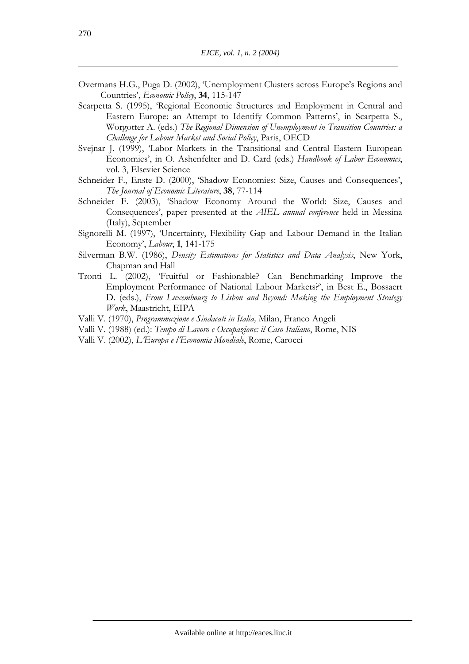- Overmans H.G., Puga D. (2002), 'Unemployment Clusters across Europe's Regions and Countries', *Economic Policy*, **34**, 115-147
- Scarpetta S. (1995), 'Regional Economic Structures and Employment in Central and Eastern Europe: an Attempt to Identify Common Patterns', in Scarpetta S., Worgotter A. (eds.) *The Regional Dimension of Unemployment in Transition Countries: a Challenge for Labour Market and Social Policy*, Paris, OECD
- Svejnar J. (1999), 'Labor Markets in the Transitional and Central Eastern European Economies', in O. Ashenfelter and D. Card (eds.) *Handbook of Labor Economics*, vol. 3, Elsevier Science
- Schneider F., Enste D. (2000), 'Shadow Economies: Size, Causes and Consequences', *The Journal of Economic Literature*, **38**, 77-114
- Schneider F. (2003), 'Shadow Economy Around the World: Size, Causes and Consequences', paper presented at the *AIEL annual conference* held in Messina (Italy), September
- Signorelli M. (1997), 'Uncertainty, Flexibility Gap and Labour Demand in the Italian Economy', *Labour*, **1**, 141-175
- Silverman B.W. (1986), *Density Estimations for Statistics and Data Analysis*, New York, Chapman and Hall
- Tronti L. (2002), 'Fruitful or Fashionable? Can Benchmarking Improve the Employment Performance of National Labour Markets?', in Best E., Bossaert D. (eds.), *From Luxembourg to Lisbon and Beyond: Making the Employment Strategy Work*, Maastricht, EIPA
- Valli V. (1970), *Programmazione e Sindacati in Italia,* Milan, Franco Angeli
- Valli V. (1988) (ed.): *Tempo di Lavoro e Occupazione: il Caso Italiano*, Rome, NIS
- Valli V. (2002), *L'Europa e l'Economia Mondiale*, Rome, Carocci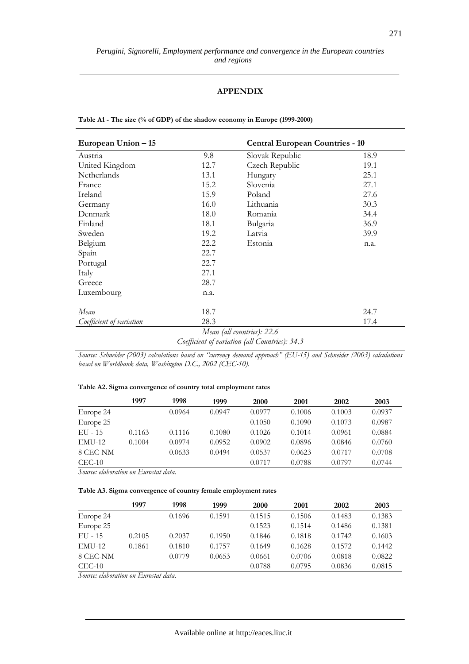#### *Perugini, Signorelli, Employment performance and convergence in the European countries and regions*

### **APPENDIX**

**Table A1 - The size (% of GDP) of the shadow economy in Europe (1999-2000)** 

| European Union – 15      |      | <b>Central European Countries - 10</b> |      |  |
|--------------------------|------|----------------------------------------|------|--|
| Austria                  | 9.8  | Slovak Republic                        | 18.9 |  |
| United Kingdom           | 12.7 | Czech Republic                         | 19.1 |  |
| <b>Netherlands</b>       | 13.1 | Hungary                                | 25.1 |  |
| France                   | 15.2 | Slovenia                               | 27.1 |  |
| Ireland                  | 15.9 | Poland                                 | 27.6 |  |
| Germany                  | 16.0 | Lithuania                              | 30.3 |  |
| Denmark                  | 18.0 | Romania                                | 34.4 |  |
| Finland                  | 18.1 | Bulgaria                               | 36.9 |  |
| Sweden                   | 19.2 | Latvia                                 | 39.9 |  |
| Belgium                  | 22.2 | Estonia                                | n.a. |  |
| Spain                    | 22.7 |                                        |      |  |
| Portugal                 | 22.7 |                                        |      |  |
| Italy                    | 27.1 |                                        |      |  |
| Greece                   | 28.7 |                                        |      |  |
| Luxembourg               | n.a. |                                        |      |  |
| Mean                     | 18.7 |                                        | 24.7 |  |
| Coefficient of variation | 28.3 |                                        | 17.4 |  |
|                          |      | Mean (all countries): 22.6             |      |  |

*Coefficient of variation (all Countries): 34.3*

*Source: Schneider (2003) calculations based on "currency demand approach" (EU-15) and Schneider (2003) calculations based on Worldbank data, Washington D.C., 2002 (CEC-10).* 

| Table A2. Sigma convergence of country total employment rates |
|---------------------------------------------------------------|
|---------------------------------------------------------------|

|               | 1997   | 1998   | 1999   | 2000   | 2001   | 2002   | 2003   |
|---------------|--------|--------|--------|--------|--------|--------|--------|
| Europe 24     |        | 0.0964 | 0.0947 | 0.0977 | 0.1006 | 0.1003 | 0.0937 |
| Europe 25     |        |        |        | 0.1050 | 0.1090 | 0.1073 | 0.0987 |
| $EU - 15$     | 0.1163 | 0.1116 | 0.1080 | 0.1026 | 0.1014 | 0.0961 | 0.0884 |
| <b>EMU-12</b> | 0.1004 | 0.0974 | 0.0952 | 0.0902 | 0.0896 | 0.0846 | 0.0760 |
| 8 CEC-NM      |        | 0.0633 | 0.0494 | 0.0537 | 0.0623 | 0.0717 | 0.0708 |
| $CEC-10$      |        |        |        | 0.0717 | 0.0788 | 0.0797 | 0.0744 |

*Source: elaboration on Eurostat data.* 

| Table A3. Sigma convergence of country female employment rates |  |  |  |  |  |  |
|----------------------------------------------------------------|--|--|--|--|--|--|
|----------------------------------------------------------------|--|--|--|--|--|--|

|               | 1997   | 1998   | 1999   | 2000   | 2001   | 2002   | 2003   |
|---------------|--------|--------|--------|--------|--------|--------|--------|
| Europe 24     |        | 0.1696 | 0.1591 | 0.1515 | 0.1506 | 0.1483 | 0.1383 |
| Europe 25     |        |        |        | 0.1523 | 0.1514 | 0.1486 | 0.1381 |
| $EU - 15$     | 0.2105 | 0.2037 | 0.1950 | 0.1846 | 0.1818 | 0.1742 | 0.1603 |
| <b>EMU-12</b> | 0.1861 | 0.1810 | 0.1757 | 0.1649 | 0.1628 | 0.1572 | 0.1442 |
| 8 CEC-NM      |        | 0.0779 | 0.0653 | 0.0661 | 0.0706 | 0.0818 | 0.0822 |
| $CEC-10$      |        |        |        | 0.0788 | 0.0795 | 0.0836 | 0.0815 |

*Source: elaboration on Eurostat data.*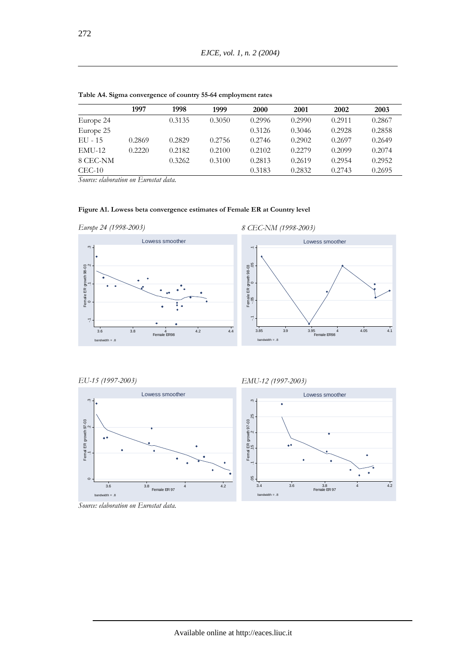|           | 1997   | 1998   | 1999   | 2000   | 2001   | 2002   | 2003   |
|-----------|--------|--------|--------|--------|--------|--------|--------|
| Europe 24 |        | 0.3135 | 0.3050 | 0.2996 | 0.2990 | 0.2911 | 0.2867 |
| Europe 25 |        |        |        | 0.3126 | 0.3046 | 0.2928 | 0.2858 |
| EU - 15   | 0.2869 | 0.2829 | 0.2756 | 0.2746 | 0.2902 | 0.2697 | 0.2649 |
| $EMU-12$  | 0.2220 | 0.2182 | 0.2100 | 0.2102 | 0.2279 | 0.2099 | 0.2074 |
| 8 CEC-NM  |        | 0.3262 | 0.3100 | 0.2813 | 0.2619 | 0.2954 | 0.2952 |
| $CEC-10$  |        |        |        | 0.3183 | 0.2832 | 0.2743 | 0.2695 |

**Table A4. Sigma convergence of country 55-64 employment rates** 

*Source: elaboration on Eurostat data.* 

### **Figure A1. Lowess beta convergence estimates of Female ER at Country level**





*EU-15 (1997-2003)*



*EMU-12 (1997-2003)*



*Source: elaboration on Eurostat data.* 

272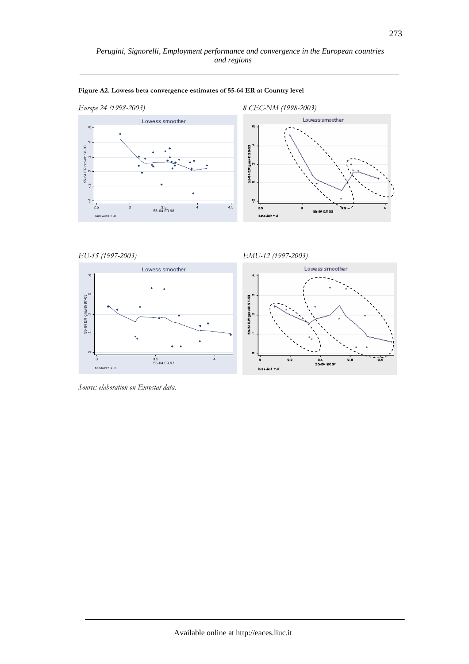

#### **Figure A2. Lowess beta convergence estimates of 55-64 ER at Country level**

```
EU-15 (1997-2003)
```
 $\epsilon$ 

 $bandwidth = .8$ 

 .1 .2 .3 .4 55-64 ER growth 97-03

55-64 ER growth 97-03<br>1





*Source: elaboration on Eurostat data.*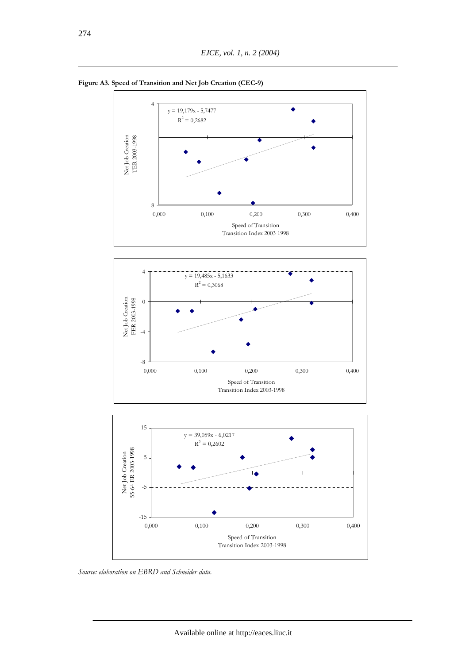







*Source: elaboration on EBRD and Schneider data.*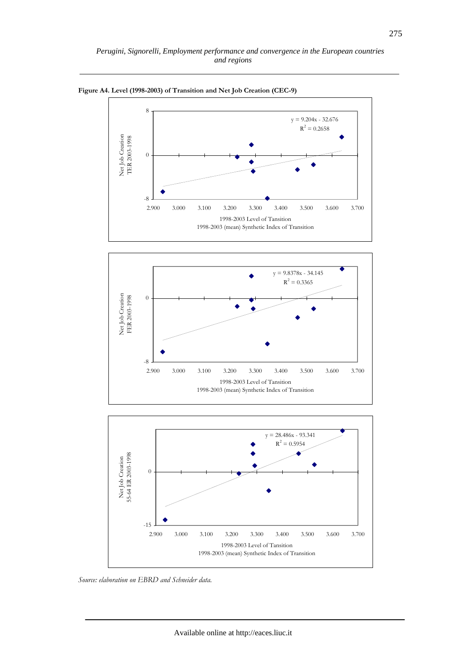

**Figure A4. Level (1998-2003) of Transition and Net Job Creation (CEC-9)** 





*Source: elaboration on EBRD and Schneider data.*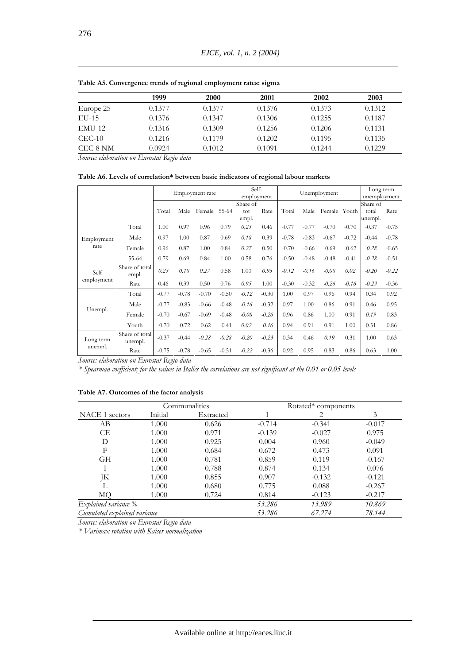|               | 1999   | 2000   | 2001   | 2002   | 2003   |
|---------------|--------|--------|--------|--------|--------|
| Europe 25     | 0.1377 | 0.1377 | 0.1376 | 0.1373 | 0.1312 |
| EU-15         | 0.1376 | 0.1347 | 0.1306 | 0.1255 | 0.1187 |
| <b>EMU-12</b> | 0.1316 | 0.1309 | 0.1256 | 0.1206 | 0.1131 |
| $CEC-10$      | 0.1216 | 0.1179 | 0.1202 | 0.1195 | 0.1135 |
| CEC-8 NM      | 0.0924 | 0.1012 | 0.1091 | 0.1244 | 0.1229 |

**Table A5. Convergence trends of regional employment rates: sigma** 

*Source: elaboration on Eurostat Regio data* 

**Table A6. Levels of correlation\* between basic indicators of regional labour markets** 

|                      |                           | Employment rate |         | Self-<br>employment |         | Unemployment    |         |         | Long term<br>unemployment |              |         |                   |         |
|----------------------|---------------------------|-----------------|---------|---------------------|---------|-----------------|---------|---------|---------------------------|--------------|---------|-------------------|---------|
|                      |                           | Total           | Male    | Female              | 55-64   | Share of<br>tot | Rate    | Total   | Male                      | Female Youth |         | Share of<br>total | Rate    |
|                      |                           |                 |         |                     |         | empl.           |         |         |                           |              |         | unempl.           |         |
|                      | Total                     | 1.00            | 0.97    | 0.96                | 0.79    | 0.23            | 0.46    | $-0.77$ | $-0.77$                   | $-0.70$      | $-0.70$ | $-0.37$           | $-0.75$ |
| Employment           | Male                      | 0.97            | 1.00    | 0.87                | 0.69    | 0.18            | 0.39    | $-0.78$ | $-0.83$                   | $-0.67$      | $-0.72$ | $-0.44$           | $-0.78$ |
| rate                 | Female                    | 0.96            | 0.87    | 1.00                | 0.84    | 0.27            | 0.50    | $-0.70$ | $-0.66$                   | $-0.69$      | $-0.62$ | $-0.28$           | $-0.65$ |
|                      | 55-64                     | 0.79            | 0.69    | 0.84                | 1.00    | 0.58            | 0.76    | $-0.50$ | $-0.48$                   | $-0.48$      | $-0.41$ | $-0.28$           | $-0.51$ |
| Self                 | Share of total<br>empl.   | 0.23            | 0.18    | 0.27                | 0.58    | 1.00            | 0.95    | $-0.12$ | $-0.16$                   | $-0.08$      | 0.02    | $-0.20$           | $-0.22$ |
| employment           | Rate                      | 0.46            | 0.39    | 0.50                | 0.76    | 0.95            | 1.00    | $-0.30$ | $-0.32$                   | $-0.26$      | $-0.16$ | $-0.23$           | $-0.36$ |
|                      | Total                     | $-0.77$         | $-0.78$ | $-0.70$             | $-0.50$ | $-0.12$         | $-0.30$ | 1.00    | 0.97                      | 0.96         | 0.94    | 0.34              | 0.92    |
|                      | Male                      | $-0.77$         | $-0.83$ | $-0.66$             | $-0.48$ | $-0.16$         | $-0.32$ | 0.97    | 1.00                      | 0.86         | 0.91    | 0.46              | 0.95    |
| Unempl.              | Female                    | $-0.70$         | $-0.67$ | $-0.69$             | $-0.48$ | $-0.08$         | $-0.26$ | 0.96    | 0.86                      | 1.00         | 0.91    | 0.19              | 0.83    |
|                      | Youth                     | $-0.70$         | $-0.72$ | $-0.62$             | $-0.41$ | 0.02            | $-0.16$ | 0.94    | 0.91                      | 0.91         | 1.00    | 0.31              | 0.86    |
| Long term<br>unempl. | Share of total<br>unempl. | $-0.37$         | $-0.44$ | $-0.28$             | $-0.28$ | $-0.20$         | $-0.23$ | 0.34    | 0.46                      | 0.19         | 0.31    | 1.00              | 0.63    |
|                      | Rate                      | $-0.75$         | $-0.78$ | $-0.65$             | $-0.51$ | $-0.22$         | $-0.36$ | 0.92    | 0.95                      | 0.83         | 0.86    | 0.63              | 1.00    |

*Source: elaboration on Eurostat Regio data* 

*\* Spearman coefficient; for the values in Italics the correlations are not significant at the 0.01 or 0.05 levels* 

**Table A7. Outcomes of the factor analysis** 

|                              |         | Communalities | Rotated* components |          |          |  |  |  |
|------------------------------|---------|---------------|---------------------|----------|----------|--|--|--|
| NACE 1 sectors               | Initial | Extracted     |                     | 2        | 3        |  |  |  |
| AB                           | 1.000   | 0.626         | $-0.714$            | $-0.341$ | $-0.017$ |  |  |  |
| CE.                          | 1.000   | 0.971         | $-0.139$            | $-0.027$ | 0.975    |  |  |  |
| D                            | 1.000   | 0.925         | 0.004               | 0.960    | $-0.049$ |  |  |  |
| F                            | 1.000   | 0.684         | 0.672               | 0.473    | 0.091    |  |  |  |
| GН                           | 1.000   | 0.781         | 0.859               | 0.119    | $-0.167$ |  |  |  |
| I                            | 1.000   | 0.788         | 0.874               | 0.134    | 0.076    |  |  |  |
| JK                           | 1.000   | 0.855         | 0.907               | $-0.132$ | $-0.121$ |  |  |  |
| L                            | 1.000   | 0.680         | 0.775               | 0.088    | $-0.267$ |  |  |  |
| MO                           | 1.000   | 0.724         | 0.814               | $-0.123$ | $-0.217$ |  |  |  |
| Explained variance %         |         |               | 53.286              | 13.989   | 10.869   |  |  |  |
| Cumulated explained variance |         |               | 53.286              | 67.274   | 78.144   |  |  |  |

*Source: elaboration on Eurostat Regio data* 

*\* Varimax rotation with Kaiser normalization*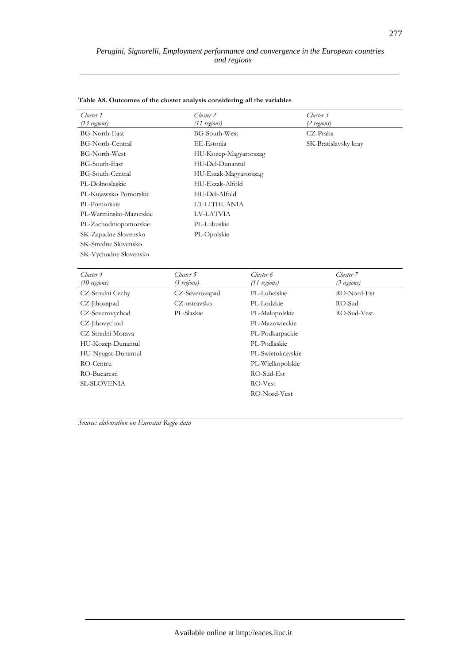| Cluster 1<br>$(13$ regions) | Cluster 2<br>$(11$ regions) | Cluster 3<br>(2 regions) |
|-----------------------------|-----------------------------|--------------------------|
| <b>BG-North-East</b>        | BG-South-West               | CZ-Praha                 |
| <b>BG-North-Central</b>     | EE-Estonia                  | SK-Bratislavsky kray     |
| <b>BG-North-West</b>        | HU-Kozep-Magyarorszag       |                          |
| <b>BG-South-East</b>        | HU-Del-Dunantul             |                          |
| BG-South-Central            | HU-Eszak-Magyarorszag       |                          |
| PL-Dolnoslaskie             | HU-Eszak-Alfold             |                          |
| PL-Kujawsko Pomorskie       | HU-Del-Alfold               |                          |
| PL-Pomorskie                | LT-LITHUANIA                |                          |
| PL-Warminsko-Mazurskie      | LV-LATVIA                   |                          |
| PL-Zachodniopomorskie       | PL-Lubuskie                 |                          |
| SK-Zapadne Slovensko        | PL-Opolskie                 |                          |
| SK-Stredne Slovensko        |                             |                          |
| SK-Vychodne Slovensko       |                             |                          |
|                             |                             |                          |

### **Table A8. Outcomes of the cluster analysis considering all the variables**

| Cluster 4          | Cluster 5      | Cluster 6         | Cluster <sub>7</sub> |  |  |  |
|--------------------|----------------|-------------------|----------------------|--|--|--|
| $(10$ regions)     | (3 regions)    | (11 regions)      | (3 regions)          |  |  |  |
| CZ-Stredni Cechy   | CZ-Severozapad | PL-Lubelskie      | RO-Nord-Est          |  |  |  |
| CZ-Jihozapad       | CZ-ostravsko   | PL-Lodzkie        | RO-Sud               |  |  |  |
| CZ-Severovychod    | PL-Slaskie     | PL-Malopolskie    | RO-Sud-Vest          |  |  |  |
| CZ-Jihovychod      |                | PL-Mazowieckie    |                      |  |  |  |
| CZ-Stredni Morava  |                | PL-Podkarpackie   |                      |  |  |  |
| HU-Kozep-Dunantul  |                | PL-Podlaskie      |                      |  |  |  |
| HU-Nyugat-Dunantul |                | PL-Swietokrzyskie |                      |  |  |  |
| RO-Centru          |                | PL-Wielkopolskie  |                      |  |  |  |
| RO-Bucaresti       |                | $RO-Sud-Est$      |                      |  |  |  |
| <b>SL-SLOVENIA</b> |                | RO-Vest           |                      |  |  |  |
|                    |                | RO-Nord-Vest      |                      |  |  |  |

*Source: elaboration on Eurostat Regio data*